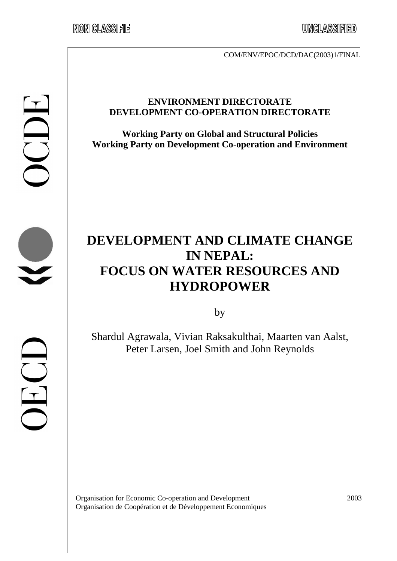# **ENVIRONMENT DIRECTORATE DEVELOPMENT CO-OPERATION DIRECTORATE**

**Working Party on Global and Structural Policies Working Party on Development Co-operation and Environment** 

# **DEVELOPMENT AND CLIMATE CHANGE IN NEPAL: FOCUS ON WATER RESOURCES AND HYDROPOWER**

by

Shardul Agrawala, Vivian Raksakulthai, Maarten van Aalst, Peter Larsen, Joel Smith and John Reynolds

Organisation for Economic Co-operation and Development 2003 Organisation de Coopération et de Développement Economiques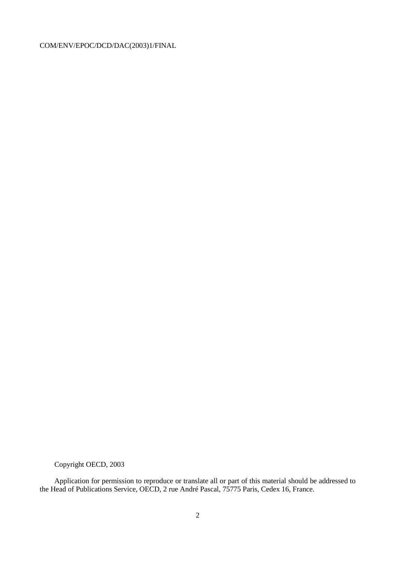Copyright OECD, 2003

Application for permission to reproduce or translate all or part of this material should be addressed to the Head of Publications Service, OECD, 2 rue André Pascal, 75775 Paris, Cedex 16, France.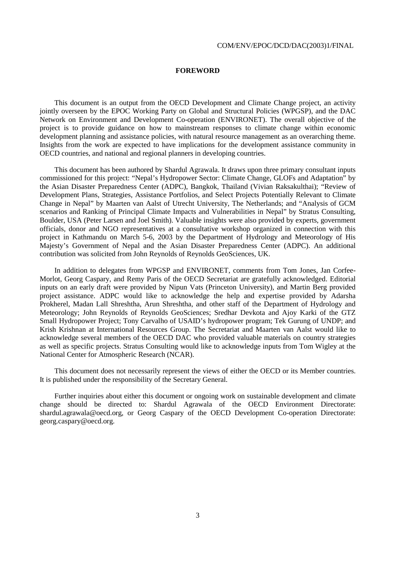### **FOREWORD**

This document is an output from the OECD Development and Climate Change project, an activity jointly overseen by the EPOC Working Party on Global and Structural Policies (WPGSP), and the DAC Network on Environment and Development Co-operation (ENVIRONET). The overall objective of the project is to provide guidance on how to mainstream responses to climate change within economic development planning and assistance policies, with natural resource management as an overarching theme. Insights from the work are expected to have implications for the development assistance community in OECD countries, and national and regional planners in developing countries.

This document has been authored by Shardul Agrawala. It draws upon three primary consultant inputs commissioned for this project: "Nepal's Hydropower Sector: Climate Change, GLOFs and Adaptation" by the Asian Disaster Preparedness Center (ADPC), Bangkok, Thailand (Vivian Raksakulthai); "Review of Development Plans, Strategies, Assistance Portfolios, and Select Projects Potentially Relevant to Climate Change in Nepal" by Maarten van Aalst of Utrecht University, The Netherlands; and "Analysis of GCM scenarios and Ranking of Principal Climate Impacts and Vulnerabilities in Nepal" by Stratus Consulting, Boulder, USA (Peter Larsen and Joel Smith). Valuable insights were also provided by experts, government officials, donor and NGO representatives at a consultative workshop organized in connection with this project in Kathmandu on March 5-6, 2003 by the Department of Hydrology and Meteorology of His Majesty's Government of Nepal and the Asian Disaster Preparedness Center (ADPC). An additional contribution was solicited from John Reynolds of Reynolds GeoSciences, UK.

In addition to delegates from WPGSP and ENVIRONET, comments from Tom Jones, Jan Corfee-Morlot, Georg Caspary, and Remy Paris of the OECD Secretariat are gratefully acknowledged. Editorial inputs on an early draft were provided by Nipun Vats (Princeton University), and Martin Berg provided project assistance. ADPC would like to acknowledge the help and expertise provided by Adarsha Prokherel, Madan Lall Shreshtha, Arun Shreshtha, and other staff of the Department of Hydrology and Meteorology; John Reynolds of Reynolds GeoSciences; Sredhar Devkota and Ajoy Karki of the GTZ Small Hydropower Project; Tony Carvalho of USAID's hydropower program; Tek Gurung of UNDP; and Krish Krishnan at International Resources Group. The Secretariat and Maarten van Aalst would like to acknowledge several members of the OECD DAC who provided valuable materials on country strategies as well as specific projects. Stratus Consulting would like to acknowledge inputs from Tom Wigley at the National Center for Atmospheric Research (NCAR).

This document does not necessarily represent the views of either the OECD or its Member countries. It is published under the responsibility of the Secretary General.

Further inquiries about either this document or ongoing work on sustainable development and climate change should be directed to: Shardul Agrawala of the OECD Environment Directorate: shardul.agrawala@oecd.org, or Georg Caspary of the OECD Development Co-operation Directorate: georg.caspary@oecd.org.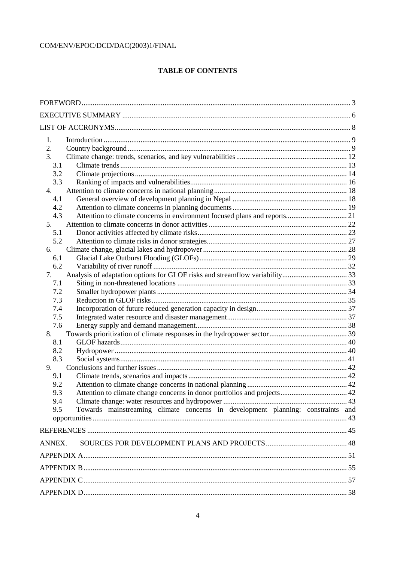# $\text{COM/ENV/EPOC/DCD/DAC}(2003)1/\text{FINAL}$

# **TABLE OF CONTENTS**

| 1.<br>2.                                                                               |  |
|----------------------------------------------------------------------------------------|--|
| 3.                                                                                     |  |
| 3.1                                                                                    |  |
| 3.2                                                                                    |  |
| 3.3                                                                                    |  |
| 4.                                                                                     |  |
| 4.1                                                                                    |  |
| 4.2                                                                                    |  |
| 4.3                                                                                    |  |
| 5.                                                                                     |  |
| 5.1                                                                                    |  |
| 5.2                                                                                    |  |
| 6.                                                                                     |  |
| 6.1<br>6.2                                                                             |  |
|                                                                                        |  |
| 7.<br>7.1                                                                              |  |
| 7.2                                                                                    |  |
| 7.3                                                                                    |  |
| 7.4                                                                                    |  |
| 7.5                                                                                    |  |
| 7.6                                                                                    |  |
| 8.                                                                                     |  |
| 8.1                                                                                    |  |
| 8.2                                                                                    |  |
| 8.3                                                                                    |  |
| 9.                                                                                     |  |
| 9.1                                                                                    |  |
| 9.2                                                                                    |  |
| 9.3                                                                                    |  |
| 9.4                                                                                    |  |
| Towards mainstreaming climate concerns in development planning: constraints and<br>9.5 |  |
|                                                                                        |  |
| ANNEX.                                                                                 |  |
|                                                                                        |  |
|                                                                                        |  |
|                                                                                        |  |
|                                                                                        |  |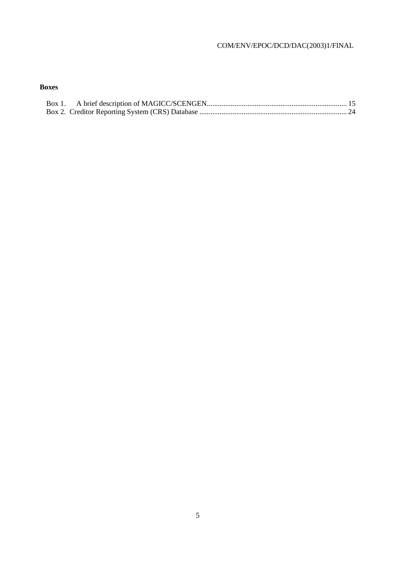# **Boxes**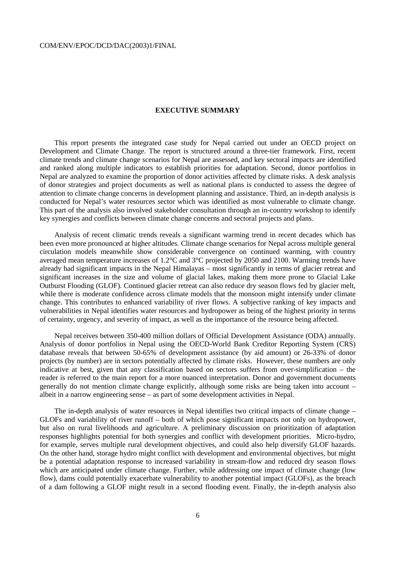# **EXECUTIVE SUMMARY**

This report presents the integrated case study for Nepal carried out under an OECD project on Development and Climate Change. The report is structured around a three-tier framework. First, recent climate trends and climate change scenarios for Nepal are assessed, and key sectoral impacts are identified and ranked along multiple indicators to establish priorities for adaptation. Second, donor portfolios in Nepal are analyzed to examine the proportion of donor activities affected by climate risks. A desk analysis of donor strategies and project documents as well as national plans is conducted to assess the degree of attention to climate change concerns in development planning and assistance. Third, an in-depth analysis is conducted for Nepal's water resources sector which was identified as most vulnerable to climate change. This part of the analysis also involved stakeholder consultation through an in-country workshop to identify key synergies and conflicts between climate change concerns and sectoral projects and plans.

Analysis of recent climatic trends reveals a significant warming trend in recent decades which has been even more pronounced at higher altitudes. Climate change scenarios for Nepal across multiple general circulation models meanwhile show considerable convergence on continued warming, with country averaged mean temperature increases of 1.2°C and 3°C projected by 2050 and 2100. Warming trends have already had significant impacts in the Nepal Himalayas – most significantly in terms of glacier retreat and significant increases in the size and volume of glacial lakes, making them more prone to Glacial Lake Outburst Flooding (GLOF). Continued glacier retreat can also reduce dry season flows fed by glacier melt, while there is moderate confidence across climate models that the monsoon might intensify under climate change. This contributes to enhanced variability of river flows. A subjective ranking of key impacts and vulnerabilities in Nepal identifies water resources and hydropower as being of the highest priority in terms of certainty, urgency, and severity of impact, as well as the importance of the resource being affected.

Nepal receives between 350-400 million dollars of Official Development Assistance (ODA) annually. Analysis of donor portfolios in Nepal using the OECD-World Bank Creditor Reporting System (CRS) database reveals that between 50-65% of development assistance (by aid amount) or 26-33% of donor projects (by number) are in sectors potentially affected by climate risks. However, these numbers are only indicative at best, given that any classification based on sectors suffers from over-simplification – the reader is referred to the main report for a more nuanced interpretation. Donor and government documents generally do not mention climate change explicitly, although some risks are being taken into account – albeit in a narrow engineering sense – as part of some development activities in Nepal.

The in-depth analysis of water resources in Nepal identifies two critical impacts of climate change – GLOFs and variability of river runoff – both of which pose significant impacts not only on hydropower, but also on rural livelihoods and agriculture. A preliminary discussion on prioritization of adaptation responses highlights potential for both synergies and conflict with development priorities. Micro-hydro, for example, serves multiple rural development objectives, and could also help diversify GLOF hazards. On the other hand, storage hydro might conflict with development and environmental objectives, but might be a potential adaptation response to increased variability in stream-flow and reduced dry season flows which are anticipated under climate change. Further, while addressing one impact of climate change (low flow), dams could potentially exacerbate vulnerability to another potential impact (GLOFs), as the breach of a dam following a GLOF might result in a second flooding event. Finally, the in-depth analysis also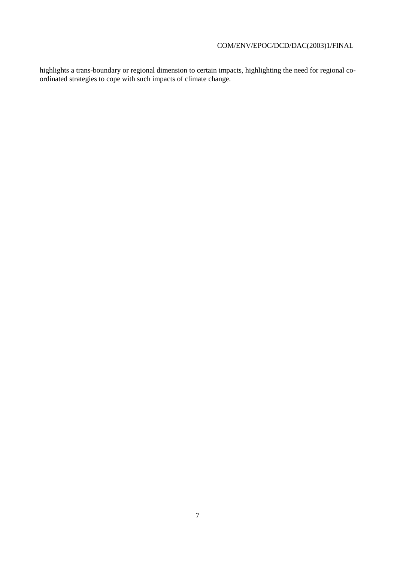highlights a trans-boundary or regional dimension to certain impacts, highlighting the need for regional coordinated strategies to cope with such impacts of climate change.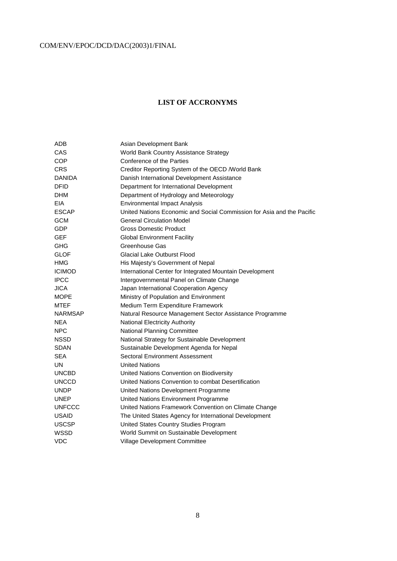# **LIST OF ACCRONYMS**

| ADB            | Asian Development Bank                                                 |
|----------------|------------------------------------------------------------------------|
| CAS            | World Bank Country Assistance Strategy                                 |
| COP            | Conference of the Parties                                              |
| <b>CRS</b>     | Creditor Reporting System of the OECD / World Bank                     |
| <b>DANIDA</b>  | Danish International Development Assistance                            |
| DFID           | Department for International Development                               |
| <b>DHM</b>     | Department of Hydrology and Meteorology                                |
| EIA            | <b>Environmental Impact Analysis</b>                                   |
| <b>ESCAP</b>   | United Nations Economic and Social Commission for Asia and the Pacific |
| <b>GCM</b>     | <b>General Circulation Model</b>                                       |
| GDP            | <b>Gross Domestic Product</b>                                          |
| <b>GEF</b>     | <b>Global Environment Facility</b>                                     |
| GHG            | Greenhouse Gas                                                         |
| GLOF           | Glacial Lake Outburst Flood                                            |
| HMG            | His Majesty's Government of Nepal                                      |
| <b>ICIMOD</b>  | International Center for Integrated Mountain Development               |
| <b>IPCC</b>    | Intergovernmental Panel on Climate Change                              |
| <b>JICA</b>    | Japan International Cooperation Agency                                 |
| MOPE           | Ministry of Population and Environment                                 |
| <b>MTEF</b>    | Medium Term Expenditure Framework                                      |
| <b>NARMSAP</b> | Natural Resource Management Sector Assistance Programme                |
| NEA            | National Electricity Authority                                         |
| <b>NPC</b>     | National Planning Committee                                            |
| <b>NSSD</b>    | National Strategy for Sustainable Development                          |
| SDAN           | Sustainable Development Agenda for Nepal                               |
| SEA            | Sectoral Environment Assessment                                        |
| UN             | <b>United Nations</b>                                                  |
| <b>UNCBD</b>   | United Nations Convention on Biodiversity                              |
| <b>UNCCD</b>   | United Nations Convention to combat Desertification                    |
| UNDP           | United Nations Development Programme                                   |
| UNEP           | United Nations Environment Programme                                   |
| <b>UNFCCC</b>  | United Nations Framework Convention on Climate Change                  |
| <b>USAID</b>   | The United States Agency for International Development                 |
| <b>USCSP</b>   | United States Country Studies Program                                  |
| <b>WSSD</b>    | World Summit on Sustainable Development                                |
| <b>VDC</b>     | Village Development Committee                                          |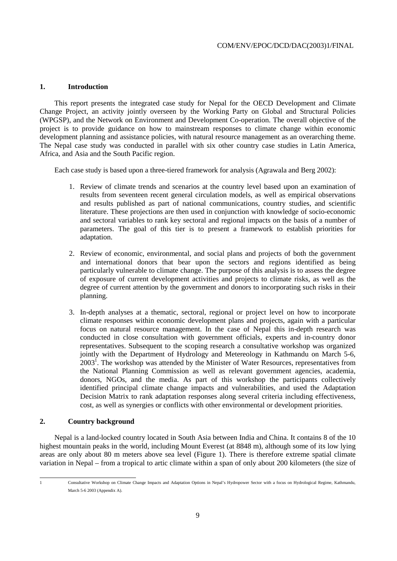# **1. Introduction**

This report presents the integrated case study for Nepal for the OECD Development and Climate Change Project, an activity jointly overseen by the Working Party on Global and Structural Policies (WPGSP), and the Network on Environment and Development Co-operation. The overall objective of the project is to provide guidance on how to mainstream responses to climate change within economic development planning and assistance policies, with natural resource management as an overarching theme. The Nepal case study was conducted in parallel with six other country case studies in Latin America, Africa, and Asia and the South Pacific region.

Each case study is based upon a three-tiered framework for analysis (Agrawala and Berg 2002):

- 1. Review of climate trends and scenarios at the country level based upon an examination of results from seventeen recent general circulation models, as well as empirical observations and results published as part of national communications, country studies, and scientific literature. These projections are then used in conjunction with knowledge of socio-economic and sectoral variables to rank key sectoral and regional impacts on the basis of a number of parameters. The goal of this tier is to present a framework to establish priorities for adaptation.
- 2. Review of economic, environmental, and social plans and projects of both the government and international donors that bear upon the sectors and regions identified as being particularly vulnerable to climate change. The purpose of this analysis is to assess the degree of exposure of current development activities and projects to climate risks, as well as the degree of current attention by the government and donors to incorporating such risks in their planning.
- 3. In-depth analyses at a thematic, sectoral, regional or project level on how to incorporate climate responses within economic development plans and projects, again with a particular focus on natural resource management. In the case of Nepal this in-depth research was conducted in close consultation with government officials, experts and in-country donor representatives. Subsequent to the scoping research a consultative workshop was organized jointly with the Department of Hydrology and Metereology in Kathmandu on March 5-6, 2003<sup>1</sup>. The workshop was attended by the Minister of Water Resources, representatives from the National Planning Commission as well as relevant government agencies, academia, donors, NGOs, and the media. As part of this workshop the participants collectively identified principal climate change impacts and vulnerabilities, and used the Adaptation Decision Matrix to rank adaptation responses along several criteria including effectiveness, cost, as well as synergies or conflicts with other environmental or development priorities.

# **2. Country background**

Nepal is a land-locked country located in South Asia between India and China. It contains 8 of the 10 highest mountain peaks in the world, including Mount Everest (at 8848 m), although some of its low lying areas are only about 80 m meters above sea level (Figure 1). There is therefore extreme spatial climate variation in Nepal – from a tropical to artic climate within a span of only about 200 kilometers (the size of

 $\mathbf{1}$ 

<sup>1</sup> Consultative Workshop on Climate Change Impacts and Adaptation Options in Nepal's Hydropower Sector with a focus on Hydrological Regime, Kathmandu, March 5-6 2003 (Appendix A).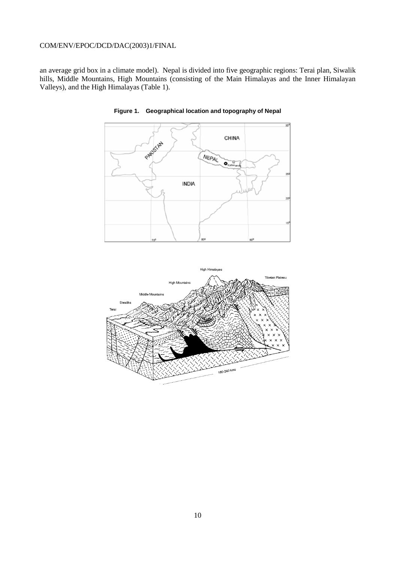an average grid box in a climate model). Nepal is divided into five geographic regions: Terai plan, Siwalik hills, Middle Mountains, High Mountains (consisting of the Main Himalayas and the Inner Himalayan Valleys), and the High Himalayas (Table 1).



**Figure 1. Geographical location and topography of Nepal** 

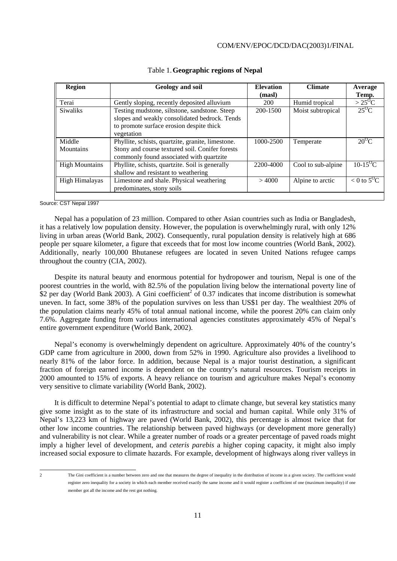| <b>Region</b>         | <b>Geology and soil</b>                           | <b>Elevation</b> | <b>Climate</b>     | Average                   |
|-----------------------|---------------------------------------------------|------------------|--------------------|---------------------------|
|                       |                                                   | (masl)           |                    | Temp.                     |
| Terai                 | Gently sloping, recently deposited alluvium       | <b>200</b>       | Humid tropical     | $>25^{\circ}C$            |
| Siwaliks              | Testing mudstone, siltstone, sandstone. Steep     | 200-1500         | Moist subtropical  | $25^{\circ}$ C            |
|                       | slopes and weakly consolidated bedrock. Tends     |                  |                    |                           |
|                       | to promote surface erosion despite thick          |                  |                    |                           |
|                       | vegetation                                        |                  |                    |                           |
| Middle                | Phyllite, schists, quartzite, granite, limestone. | 1000-2500        | Temperate          | $20^{\circ}$ C            |
| Mountains             | Stony and course textured soil. Conifer forests   |                  |                    |                           |
|                       | commonly found associated with quartzite          |                  |                    |                           |
| <b>High Mountains</b> | Phyllite, schists, quartzite. Soil is generally   | 2200-4000        | Cool to sub-alpine | $10-15\overline{°C}$      |
|                       | shallow and resistant to weathering               |                  |                    |                           |
| High Himalayas        | Limestone and shale. Physical weathering          | >4000            | Alpine to arctic   | $< 0$ to 5 <sup>O</sup> C |
|                       | predominates, stony soils                         |                  |                    |                           |
|                       |                                                   |                  |                    |                           |

### Table 1. **Geographic regions of Nepal**

Source: CST Nepal 1997

Nepal has a population of 23 million. Compared to other Asian countries such as India or Bangladesh, it has a relatively low population density. However, the population is overwhelmingly rural, with only 12% living in urban areas (World Bank, 2002). Consequently, rural population density is relatively high at 686 people per square kilometer, a figure that exceeds that for most low income countries (World Bank, 2002). Additionally, nearly 100,000 Bhutanese refugees are located in seven United Nations refugee camps throughout the country (CIA, 2002).

Despite its natural beauty and enormous potential for hydropower and tourism, Nepal is one of the poorest countries in the world, with 82.5% of the population living below the international poverty line of \$2 per day (World Bank 2003). A Gini coefficient<sup>2</sup> of 0.37 indicates that income distribution is somewhat uneven. In fact, some 38% of the population survives on less than US\$1 per day. The wealthiest 20% of the population claims nearly 45% of total annual national income, while the poorest 20% can claim only 7.6%. Aggregate funding from various international agencies constitutes approximately 45% of Nepal's entire government expenditure (World Bank, 2002).

Nepal's economy is overwhelmingly dependent on agriculture. Approximately 40% of the country's GDP came from agriculture in 2000, down from 52% in 1990. Agriculture also provides a livelihood to nearly 81% of the labor force. In addition, because Nepal is a major tourist destination, a significant fraction of foreign earned income is dependent on the country's natural resources. Tourism receipts in 2000 amounted to 15% of exports. A heavy reliance on tourism and agriculture makes Nepal's economy very sensitive to climate variability (World Bank, 2002).

It is difficult to determine Nepal's potential to adapt to climate change, but several key statistics many give some insight as to the state of its infrastructure and social and human capital. While only 31% of Nepal's 13,223 km of highway are paved (World Bank, 2002), this percentage is almost twice that for other low income countries. The relationship between paved highways (or development more generally) and vulnerability is not clear. While a greater number of roads or a greater percentage of paved roads might imply a higher level of development, and *ceteris parebis* a higher coping capacity, it might also imply increased social exposure to climate hazards. For example, development of highways along river valleys in

 $\overline{c}$ 

The Gini coefficient is a number between zero and one that measures the degree of inequality in the distribution of income in a given society. The coefficient would register zero inequality for a society in which each member received exactly the same income and it would register a coefficient of one (maximum inequality) if one member got all the income and the rest got nothing.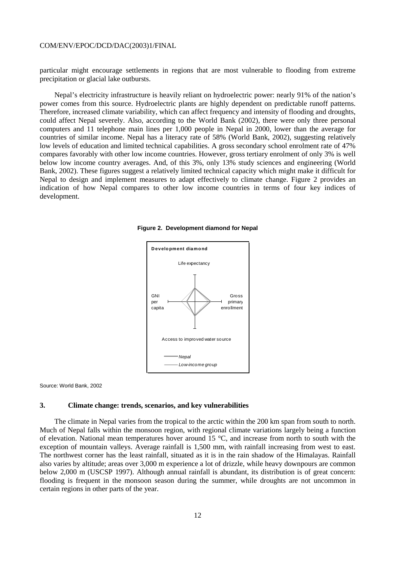particular might encourage settlements in regions that are most vulnerable to flooding from extreme precipitation or glacial lake outbursts.

Nepal's electricity infrastructure is heavily reliant on hydroelectric power: nearly 91% of the nation's power comes from this source. Hydroelectric plants are highly dependent on predictable runoff patterns. Therefore, increased climate variability, which can affect frequency and intensity of flooding and droughts, could affect Nepal severely. Also, according to the World Bank (2002), there were only three personal computers and 11 telephone main lines per 1,000 people in Nepal in 2000, lower than the average for countries of similar income. Nepal has a literacy rate of 58% (World Bank, 2002), suggesting relatively low levels of education and limited technical capabilities. A gross secondary school enrolment rate of 47% compares favorably with other low income countries. However, gross tertiary enrolment of only 3% is well below low income country averages. And, of this 3%, only 13% study sciences and engineering (World Bank, 2002). These figures suggest a relatively limited technical capacity which might make it difficult for Nepal to design and implement measures to adapt effectively to climate change. Figure 2 provides an indication of how Nepal compares to other low income countries in terms of four key indices of development.

#### **Figure 2. Development diamond for Nepal**



Source: World Bank, 2002

### **3. Climate change: trends, scenarios, and key vulnerabilities**

The climate in Nepal varies from the tropical to the arctic within the 200 km span from south to north. Much of Nepal falls within the monsoon region, with regional climate variations largely being a function of elevation. National mean temperatures hover around 15 °C, and increase from north to south with the exception of mountain valleys. Average rainfall is 1,500 mm, with rainfall increasing from west to east. The northwest corner has the least rainfall, situated as it is in the rain shadow of the Himalayas. Rainfall also varies by altitude; areas over 3,000 m experience a lot of drizzle, while heavy downpours are common below 2,000 m (USCSP 1997). Although annual rainfall is abundant, its distribution is of great concern: flooding is frequent in the monsoon season during the summer, while droughts are not uncommon in certain regions in other parts of the year.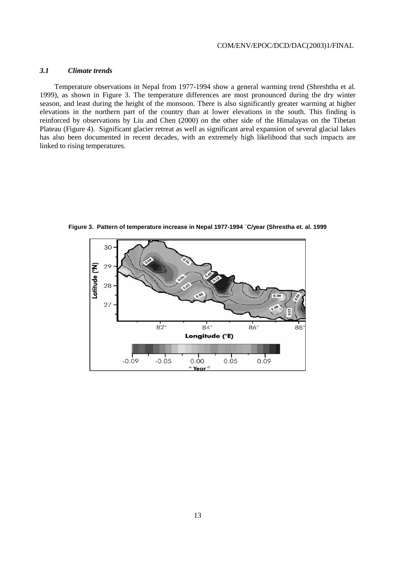# *3.1 Climate trends*

Temperature observations in Nepal from 1977-1994 show a general warming trend (Shreshtha et al. 1999), as shown in Figure 3. The temperature differences are most pronounced during the dry winter season, and least during the height of the monsoon. There is also significantly greater warming at higher elevations in the northern part of the country than at lower elevations in the south. This finding is reinforced by observations by Liu and Chen (2000) on the other side of the Himalayas on the Tibetan Plateau (Figure 4). Significant glacier retreat as well as significant areal expansion of several glacial lakes has also been documented in recent decades, with an extremely high likelihood that such impacts are linked to rising temperatures.



**Figure 3. Pattern of temperature increase in Nepal 1977-1994 ○ C/year (Shrestha et. al. 1999**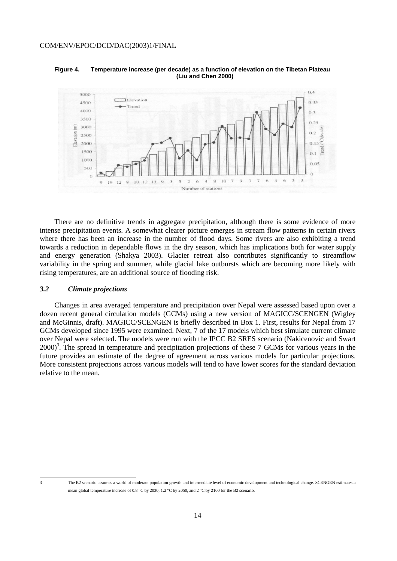

**Figure 4. Temperature increase (per decade) as a function of elevation on the Tibetan Plateau (Liu and Chen 2000)** 

There are no definitive trends in aggregate precipitation, although there is some evidence of more intense precipitation events. A somewhat clearer picture emerges in stream flow patterns in certain rivers where there has been an increase in the number of flood days. Some rivers are also exhibiting a trend towards a reduction in dependable flows in the dry season, which has implications both for water supply and energy generation (Shakya 2003). Glacier retreat also contributes significantly to streamflow variability in the spring and summer, while glacial lake outbursts which are becoming more likely with rising temperatures, are an additional source of flooding risk.

### *3.2 Climate projections*

Changes in area averaged temperature and precipitation over Nepal were assessed based upon over a dozen recent general circulation models (GCMs) using a new version of MAGICC/SCENGEN (Wigley and McGinnis, draft). MAGICC/SCENGEN is briefly described in Box 1. First, results for Nepal from 17 GCMs developed since 1995 were examined. Next, 7 of the 17 models which best simulate current climate over Nepal were selected. The models were run with the IPCC B2 SRES scenario (Nakicenovic and Swart  $2000$ <sup>3</sup>. The spread in temperature and precipitation projections of these 7 GCMs for various years in the future provides an estimate of the degree of agreement across various models for particular projections. More consistent projections across various models will tend to have lower scores for the standard deviation relative to the mean.

 $\overline{\mathbf{3}}$ 

The B2 scenario assumes a world of moderate population growth and intermediate level of economic development and technological change. SCENGEN estimates a mean global temperature increase of 0.8 °C by 2030, 1.2 °C by 2050, and 2 °C by 2100 for the B2 scenario.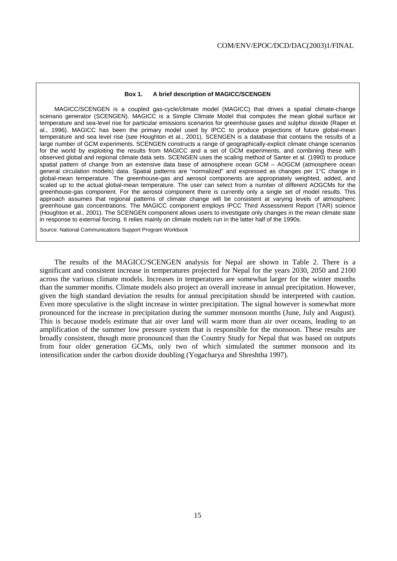#### **Box 1. A brief description of MAGICC/SCENGEN**

MAGICC/SCENGEN is a coupled gas-cycle/climate model (MAGICC) that drives a spatial climate-change scenario generator (SCENGEN). MAGICC is a Simple Climate Model that computes the mean global surface air temperature and sea-level rise for particular emissions scenarios for greenhouse gases and sulphur dioxide (Raper et al., 1996). MAGICC has been the primary model used by IPCC to produce projections of future global-mean temperature and sea level rise (see Houghton et al., 2001). SCENGEN is a database that contains the results of a large number of GCM experiments. SCENGEN constructs a range of geographically-explicit climate change scenarios for the world by exploiting the results from MAGICC and a set of GCM experiments, and combining these with observed global and regional climate data sets. SCENGEN uses the scaling method of Santer et al. (1990) to produce spatial pattern of change from an extensive data base of atmosphere ocean GCM – AOGCM (atmosphere ocean general circulation models) data. Spatial patterns are "normalized" and expressed as changes per 1°C change in global-mean temperature. The greenhouse-gas and aerosol components are appropriately weighted, added, and scaled up to the actual global-mean temperature. The user can select from a number of different AOGCMs for the greenhouse-gas component. For the aerosol component there is currently only a single set of model results. This approach assumes that regional patterns of climate change will be consistent at varying levels of atmospheric greenhouse gas concentrations. The MAGICC component employs IPCC Third Assessment Report (TAR) science (Houghton et al., 2001). The SCENGEN component allows users to investigate only changes in the mean climate state in response to external forcing. It relies mainly on climate models run in the latter half of the 1990s.

Source: National Communications Support Program Workbook

The results of the MAGICC/SCENGEN analysis for Nepal are shown in Table 2. There is a significant and consistent increase in temperatures projected for Nepal for the years 2030, 2050 and 2100 across the various climate models. Increases in temperatures are somewhat larger for the winter months than the summer months. Climate models also project an overall increase in annual precipitation. However, given the high standard deviation the results for annual precipitation should be interpreted with caution. Even more speculative is the slight increase in winter precipitation. The signal however is somewhat more pronounced for the increase in precipitation during the summer monsoon months (June, July and August). This is because models estimate that air over land will warm more than air over oceans, leading to an amplification of the summer low pressure system that is responsible for the monsoon. These results are broadly consistent, though more pronounced than the Country Study for Nepal that was based on outputs from four older generation GCMs, only two of which simulated the summer monsoon and its intensification under the carbon dioxide doubling (Yogacharya and Shreshtha 1997).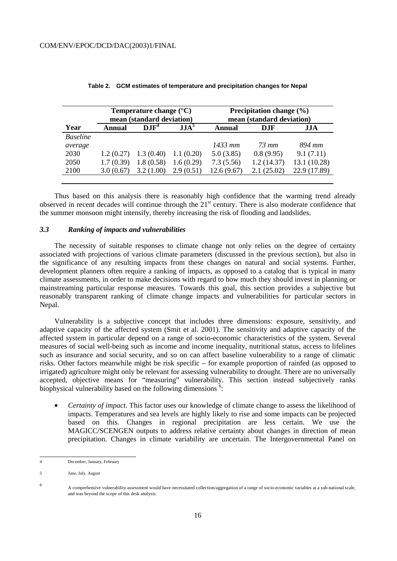|                 |               | Temperature change $(^{\circ}C)$<br>mean (standard deviation) |                  | Precipitation change $(\% )$<br>mean (standard deviation) |            |              |  |  |
|-----------------|---------------|---------------------------------------------------------------|------------------|-----------------------------------------------------------|------------|--------------|--|--|
| Year            | <b>Annual</b> | $D_{\cdot}I\text{F}^4$                                        | JJA <sup>5</sup> | Annual                                                    | D.IF       | JJA          |  |  |
| <b>Baseline</b> |               |                                                               |                  |                                                           |            |              |  |  |
| average         |               |                                                               |                  | 1433 mm                                                   | 73 mm      | 894 mm       |  |  |
| 2030            | 1.2(0.27)     | 1.3(0.40)                                                     | 1.1(0.20)        | 5.0(3.85)                                                 | 0.8(9.95)  | 9.1(7.11)    |  |  |
| 2050            | 1.7(0.39)     | 1.8(0.58)                                                     | 1.6(0.29)        | 7.3(5.56)                                                 | 1.2(14.37) | 13.1 (10.28) |  |  |
| 2100            | 3.0(0.67)     | 3.2(1.00)                                                     | 2.9(0.51)        | 12.6(9.67)                                                | 2.1(25.02) | 22.9 (17.89) |  |  |
|                 |               |                                                               |                  |                                                           |            |              |  |  |

#### **Table 2. GCM estimates of temperature and precipitation changes for Nepal**

Thus based on this analysis there is reasonably high confidence that the warming trend already observed in recent decades will continue through the 21<sup>st</sup> century. There is also moderate confidence that the summer monsoon might intensify, thereby increasing the risk of flooding and landslides.

# *3.3 Ranking of impacts and vulnerabilities*

The necessity of suitable responses to climate change not only relies on the degree of certainty associated with projections of various climate parameters (discussed in the previous section), but also in the significance of any resulting impacts from these changes on natural and social systems. Further, development planners often require a ranking of impacts, as opposed to a catalog that is typical in many climate assessments, in order to make decisions with regard to how much they should invest in planning or mainstreaming particular response measures. Towards this goal, this section provides a subjective but reasonably transparent ranking of climate change impacts and vulnerabilities for particular sectors in Nepal.

Vulnerability is a subjective concept that includes three dimensions: exposure, sensitivity, and adaptive capacity of the affected system (Smit et al. 2001). The sensitivity and adaptive capacity of the affected system in particular depend on a range of socio-economic characteristics of the system. Several measures of social well-being such as income and income inequality, nutritional status, access to lifelines such as insurance and social security, and so on can affect baseline vulnerability to a range of climatic risks. Other factors meanwhile might be risk specific – for example proportion of rainfed (as opposed to irrigated) agriculture might only be relevant for assessing vulnerability to drought. There are no universally accepted, objective means for "measuring" vulnerability. This section instead subjectively ranks biophysical vulnerability based on the following dimensions  $6$ :

• *Certainty of impact*. This factor uses our knowledge of climate change to assess the likelihood of impacts. Temperatures and sea levels are highly likely to rise and some impacts can be projected based on this. Changes in regional precipitation are less certain. We use the MAGICC/SCENGEN outputs to address relative certainty about changes in direction of mean precipitation. Changes in climate variability are uncertain. The Intergovernmental Panel on

 $\overline{A}$ December, January, February

<sup>5</sup> June, July, August

<sup>6</sup> A comprehensive vulnerability assessment would have necessitated collection/aggregation of a range of socio-economic variables at a sub-national scale, and was beyond the scope of this desk analysis.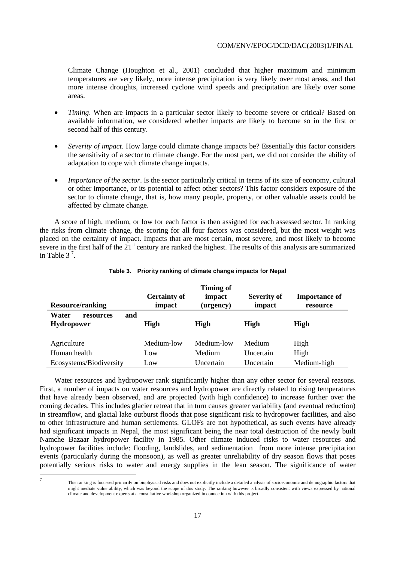Climate Change (Houghton et al., 2001) concluded that higher maximum and minimum temperatures are very likely, more intense precipitation is very likely over most areas, and that more intense droughts, increased cyclone wind speeds and precipitation are likely over some areas.

- *Timing*. When are impacts in a particular sector likely to become severe or critical? Based on available information, we considered whether impacts are likely to become so in the first or second half of this century.
- *Severity of impact*. How large could climate change impacts be? Essentially this factor considers the sensitivity of a sector to climate change. For the most part, we did not consider the ability of adaptation to cope with climate change impacts.
- *Importance of the sector*. Is the sector particularly critical in terms of its size of economy, cultural or other importance, or its potential to affect other sectors? This factor considers exposure of the sector to climate change, that is, how many people, property, or other valuable assets could be affected by climate change.

A score of high, medium, or low for each factor is then assigned for each assessed sector. In ranking the risks from climate change, the scoring for all four factors was considered, but the most weight was placed on the certainty of impact. Impacts that are most certain, most severe, and most likely to become severe in the first half of the 21<sup>st</sup> century are ranked the highest. The results of this analysis are summarized in Table  $3^7$ .

| <b>Resource/ranking</b>                        | <b>Timing of</b><br><b>Certainty of</b><br>impact<br>(urgency)<br>impact |             | <b>Severity of</b><br>impact | <b>Importance of</b><br>resource |
|------------------------------------------------|--------------------------------------------------------------------------|-------------|------------------------------|----------------------------------|
| Water<br>and<br>resources<br><b>Hydropower</b> | High                                                                     | <b>High</b> | <b>High</b>                  | <b>High</b>                      |
| Agriculture                                    | Medium-low                                                               | Medium-low  | Medium                       | High                             |
| Human health                                   | Low                                                                      | Medium      | Uncertain                    | High                             |
| Ecosystems/Biodiversity                        | Low                                                                      | Uncertain   | Uncertain                    | Medium-high                      |

### **Table 3. Priority ranking of climate change impacts for Nepal**

Water resources and hydropower rank significantly higher than any other sector for several reasons. First, a number of impacts on water resources and hydropower are directly related to rising temperatures that have already been observed, and are projected (with high confidence) to increase further over the coming decades. This includes glacier retreat that in turn causes greater variability (and eventual reduction) in streamflow, and glacial lake outburst floods that pose significant risk to hydropower facilities, and also to other infrastructure and human settlements. GLOFs are not hypothetical, as such events have already had significant impacts in Nepal, the most significant being the near total destruction of the newly built Namche Bazaar hydropower facility in 1985. Other climate induced risks to water resources and hydropower facilities include: flooding, landslides, and sedimentation from more intense precipitation events (particularly during the monsoon), as well as greater unreliability of dry season flows that poses potentially serious risks to water and energy supplies in the lean season. The significance of water

<sup>-</sup>

This ranking is focussed primarily on biophysical risks and does not explicitly include a detailed analysis of socioeconomic and demographic factors that might mediate vulnerability, which was beyond the scope of this study. The ranking however is broadly consistent with views expressed by national climate and development experts at a consultative workshop organized in connection with this project.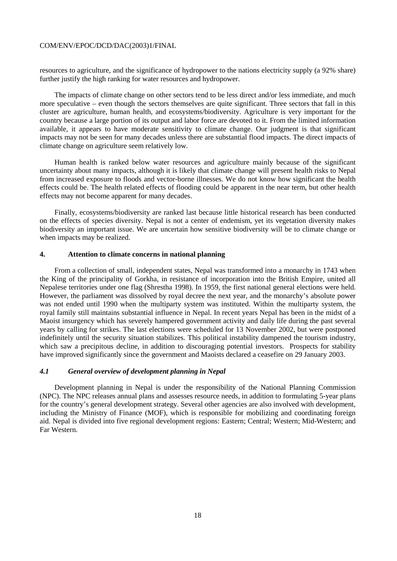resources to agriculture, and the significance of hydropower to the nations electricity supply (a 92% share) further justify the high ranking for water resources and hydropower.

The impacts of climate change on other sectors tend to be less direct and/or less immediate, and much more speculative – even though the sectors themselves are quite significant. Three sectors that fall in this cluster are agriculture, human health, and ecosystems/biodiversity. Agriculture is very important for the country because a large portion of its output and labor force are devoted to it. From the limited information available, it appears to have moderate sensitivity to climate change. Our judgment is that significant impacts may not be seen for many decades unless there are substantial flood impacts. The direct impacts of climate change on agriculture seem relatively low.

Human health is ranked below water resources and agriculture mainly because of the significant uncertainty about many impacts, although it is likely that climate change will present health risks to Nepal from increased exposure to floods and vector-borne illnesses. We do not know how significant the health effects could be. The health related effects of flooding could be apparent in the near term, but other health effects may not become apparent for many decades.

Finally, ecosystems/biodiversity are ranked last because little historical research has been conducted on the effects of species diversity. Nepal is not a center of endemism, yet its vegetation diversity makes biodiversity an important issue. We are uncertain how sensitive biodiversity will be to climate change or when impacts may be realized.

### **4. Attention to climate concerns in national planning**

From a collection of small, independent states, Nepal was transformed into a monarchy in 1743 when the King of the principality of Gorkha, in resistance of incorporation into the British Empire, united all Nepalese territories under one flag (Shrestha 1998). In 1959, the first national general elections were held. However, the parliament was dissolved by royal decree the next year, and the monarchy's absolute power was not ended until 1990 when the multiparty system was instituted. Within the multiparty system, the royal family still maintains substantial influence in Nepal. In recent years Nepal has been in the midst of a Maoist insurgency which has severely hampered government activity and daily life during the past several years by calling for strikes. The last elections were scheduled for 13 November 2002, but were postponed indefinitely until the security situation stabilizes. This political instability dampened the tourism industry, which saw a precipitous decline, in addition to discouraging potential investors. Prospects for stability have improved significantly since the government and Maoists declared a ceasefire on 29 January 2003.

# *4.1 General overview of development planning in Nepal*

Development planning in Nepal is under the responsibility of the National Planning Commission (NPC). The NPC releases annual plans and assesses resource needs, in addition to formulating 5-year plans for the country's general development strategy. Several other agencies are also involved with development, including the Ministry of Finance (MOF), which is responsible for mobilizing and coordinating foreign aid. Nepal is divided into five regional development regions: Eastern; Central; Western; Mid-Western; and Far Western.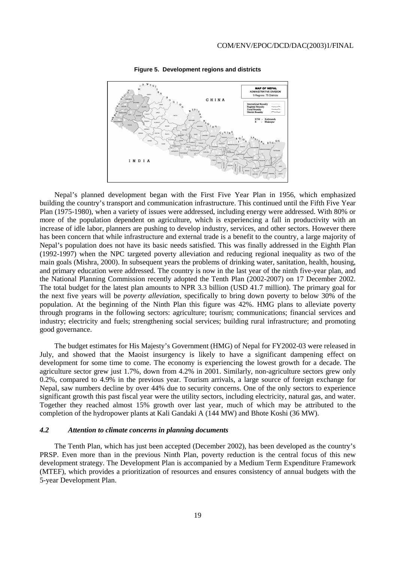

#### **Figure 5. Development regions and districts**

Nepal's planned development began with the First Five Year Plan in 1956, which emphasized building the country's transport and communication infrastructure. This continued until the Fifth Five Year Plan (1975-1980), when a variety of issues were addressed, including energy were addressed. With 80% or more of the population dependent on agriculture, which is experiencing a fall in productivity with an increase of idle labor, planners are pushing to develop industry, services, and other sectors. However there has been concern that while infrastructure and external trade is a benefit to the country, a large majority of Nepal's population does not have its basic needs satisfied. This was finally addressed in the Eighth Plan (1992-1997) when the NPC targeted poverty alleviation and reducing regional inequality as two of the main goals (Mishra, 2000). In subsequent years the problems of drinking water, sanitation, health, housing, and primary education were addressed. The country is now in the last year of the ninth five-year plan, and the National Planning Commission recently adopted the Tenth Plan (2002-2007) on 17 December 2002. The total budget for the latest plan amounts to NPR 3.3 billion (USD 41.7 million). The primary goal for the next five years will be *poverty alleviation*, specifically to bring down poverty to below 30% of the population. At the beginning of the Ninth Plan this figure was 42%. HMG plans to alleviate poverty through programs in the following sectors: agriculture; tourism; communications; financial services and industry; electricity and fuels; strengthening social services; building rural infrastructure; and promoting good governance.

The budget estimates for His Majesty's Government (HMG) of Nepal for FY2002-03 were released in July, and showed that the Maoist insurgency is likely to have a significant dampening effect on development for some time to come. The economy is experiencing the lowest growth for a decade. The agriculture sector grew just 1.7%, down from 4.2% in 2001. Similarly, non-agriculture sectors grew only 0.2%, compared to 4.9% in the previous year. Tourism arrivals, a large source of foreign exchange for Nepal, saw numbers decline by over 44% due to security concerns. One of the only sectors to experience significant growth this past fiscal year were the utility sectors, including electricity, natural gas, and water. Together they reached almost 15% growth over last year, much of which may be attributed to the completion of the hydropower plants at Kali Gandaki A (144 MW) and Bhote Koshi (36 MW).

### *4.2 Attention to climate concerns in planning documents*

The Tenth Plan, which has just been accepted (December 2002), has been developed as the country's PRSP. Even more than in the previous Ninth Plan, poverty reduction is the central focus of this new development strategy. The Development Plan is accompanied by a Medium Term Expenditure Framework (MTEF), which provides a prioritization of resources and ensures consistency of annual budgets with the 5-year Development Plan.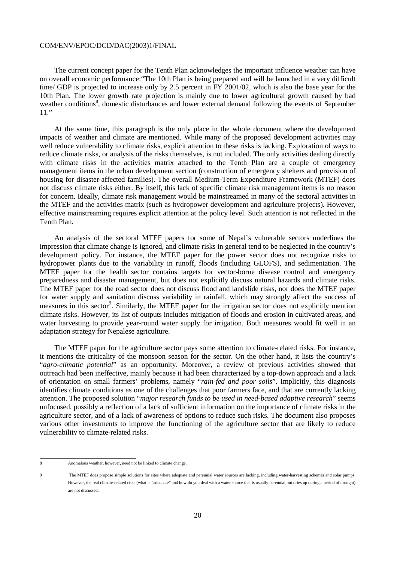The current concept paper for the Tenth Plan acknowledges the important influence weather can have on overall economic performance:"The 10th Plan is being prepared and will be launched in a very difficult time/ GDP is projected to increase only by 2.5 percent in FY 2001/02, which is also the base year for the 10th Plan. The lower growth rate projection is mainly due to lower agricultural growth caused by bad weather conditions<sup>8</sup>, domestic disturbances and lower external demand following the events of September 11."

At the same time, this paragraph is the only place in the whole document where the development impacts of weather and climate are mentioned. While many of the proposed development activities may well reduce vulnerability to climate risks, explicit attention to these risks is lacking. Exploration of ways to reduce climate risks, or analysis of the risks themselves, is not included. The only activities dealing directly with climate risks in the activities matrix attached to the Tenth Plan are a couple of emergency management items in the urban development section (construction of emergency shelters and provision of housing for disaster-affected families). The overall Medium-Term Expenditure Framework (MTEF) does not discuss climate risks either. By itself, this lack of specific climate risk management items is no reason for concern. Ideally, climate risk management would be mainstreamed in many of the sectoral activities in the MTEF and the activities matrix (such as hydropower development and agriculture projects). However, effective mainstreaming requires explicit attention at the policy level. Such attention is not reflected in the Tenth Plan.

An analysis of the sectoral MTEF papers for some of Nepal's vulnerable sectors underlines the impression that climate change is ignored, and climate risks in general tend to be neglected in the country's development policy. For instance, the MTEF paper for the power sector does not recognize risks to hydropower plants due to the variability in runoff, floods (including GLOFS), and sedimentation. The MTEF paper for the health sector contains targets for vector-borne disease control and emergency preparedness and disaster management, but does not explicitly discuss natural hazards and climate risks. The MTEF paper for the road sector does not discuss flood and landslide risks, nor does the MTEF paper for water supply and sanitation discuss variability in rainfall, which may strongly affect the success of measures in this sector<sup>9</sup>. Similarly, the MTEF paper for the irrigation sector does not explicitly mention climate risks. However, its list of outputs includes mitigation of floods and erosion in cultivated areas, and water harvesting to provide year-round water supply for irrigation. Both measures would fit well in an adaptation strategy for Nepalese agriculture.

The MTEF paper for the agriculture sector pays some attention to climate-related risks. For instance, it mentions the criticality of the monsoon season for the sector. On the other hand, it lists the country's "*agro-climatic potential*" as an opportunity. Moreover, a review of previous activities showed that outreach had been ineffective, mainly because it had been characterized by a top-down approach and a lack of orientation on small farmers' problems, namely "*rain-fed and poor soils*". Implicitly, this diagnosis identifies climate conditions as one of the challenges that poor farmers face, and that are currently lacking attention. The proposed solution "*major research funds to be used in need-based adaptive research*" seems unfocused, possibly a reflection of a lack of sufficient information on the importance of climate risks in the agriculture sector, and of a lack of awareness of options to reduce such risks. The document also proposes various other investments to improve the functioning of the agriculture sector that are likely to reduce vulnerability to climate-related risks.

<sup>8</sup> Anomalous weather, however, need not be linked to climate change.

<sup>9</sup> The MTEF does propose simple solutions for sites where adequate and perennial water sources are lacking, including water-harvesting schemes and solar pumps. However, the real climate-related risks (what is "adequate" and how do you deal with a water source that is usually perennial but dries up during a period of drought) are not discussed.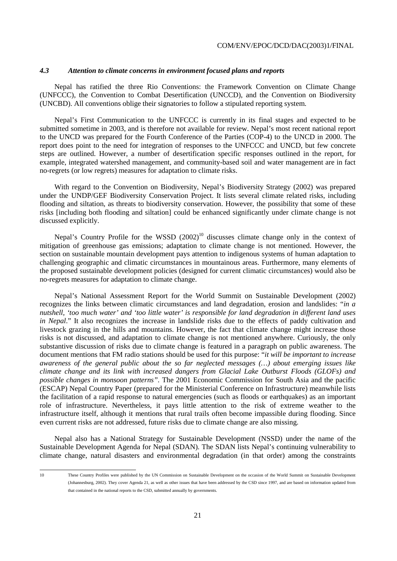# *4.3 Attention to climate concerns in environment focused plans and reports*

Nepal has ratified the three Rio Conventions: the Framework Convention on Climate Change (UNFCCC), the Convention to Combat Desertification (UNCCD), and the Convention on Biodiversity (UNCBD). All conventions oblige their signatories to follow a stipulated reporting system.

Nepal's First Communication to the UNFCCC is currently in its final stages and expected to be submitted sometime in 2003, and is therefore not available for review. Nepal's most recent national report to the UNCD was prepared for the Fourth Conference of the Parties (COP-4) to the UNCD in 2000. The report does point to the need for integration of responses to the UNFCCC and UNCD, but few concrete steps are outlined. However, a number of desertification specific responses outlined in the report, for example, integrated watershed management, and community-based soil and water management are in fact no-regrets (or low regrets) measures for adaptation to climate risks.

With regard to the Convention on Biodiversity, Nepal's Biodiversity Strategy (2002) was prepared under the UNDP/GEF Biodiversity Conservation Project. It lists several climate related risks, including flooding and siltation, as threats to biodiversity conservation. However, the possibility that some of these risks [including both flooding and siltation] could be enhanced significantly under climate change is not discussed explicitly.

Nepal's Country Profile for the WSSD  $(2002)^{10}$  discusses climate change only in the context of mitigation of greenhouse gas emissions; adaptation to climate change is not mentioned. However, the section on sustainable mountain development pays attention to indigenous systems of human adaptation to challenging geographic and climatic circumstances in mountainous areas. Furthermore, many elements of the proposed sustainable development policies (designed for current climatic circumstances) would also be no-regrets measures for adaptation to climate change.

Nepal's National Assessment Report for the World Summit on Sustainable Development (2002) recognizes the links between climatic circumstances and land degradation, erosion and landslides: "*in a nutshell, 'too much water' and 'too little water' is responsible for land degradation in different land uses in Nepal*." It also recognizes the increase in landslide risks due to the effects of paddy cultivation and livestock grazing in the hills and mountains. However, the fact that climate change might increase those risks is not discussed, and adaptation to climate change is not mentioned anywhere. Curiously, the only substantive discussion of risks due to climate change is featured in a paragraph on public awareness. The document mentions that FM radio stations should be used for this purpose: "*it will be important to increase awareness of the general public about the so far neglected messages (…) about emerging issues like climate change and its link with increased dangers from Glacial Lake Outburst Floods (GLOFs) and possible changes in monsoon patterns".* The 2001 Economic Commission for South Asia and the pacific (ESCAP) Nepal Country Paper (prepared for the Ministerial Conference on Infrastructure) meanwhile lists the facilitation of a rapid response to natural emergencies (such as floods or earthquakes) as an important role of infrastructure. Nevertheless, it pays little attention to the risk of extreme weather to the infrastructure itself, although it mentions that rural trails often become impassible during flooding. Since even current risks are not addressed, future risks due to climate change are also missing.

Nepal also has a National Strategy for Sustainable Development (NSSD) under the name of the Sustainable Development Agenda for Nepal (SDAN). The SDAN lists Nepal's continuing vulnerability to climate change, natural disasters and environmental degradation (in that order) among the constraints

 $10\,$ 

These Country Profiles were published by the UN Commission on Sustainable Development on the occasion of the World Summit on Sustainable Development (Johannesburg, 2002). They cover Agenda 21, as well as other issues that have been addressed by the CSD since 1997, and are based on information updated from that contained in the national reports to the CSD, submitted annually by governments.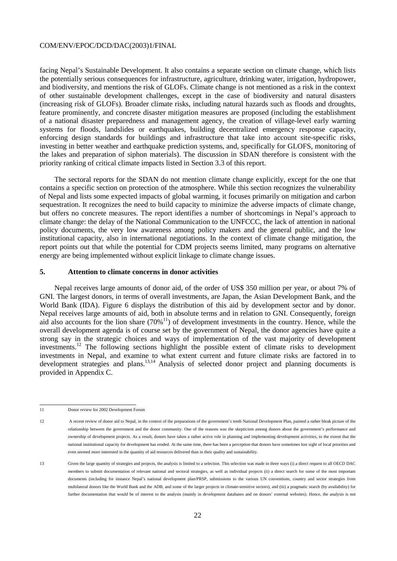facing Nepal's Sustainable Development. It also contains a separate section on climate change, which lists the potentially serious consequences for infrastructure, agriculture, drinking water, irrigation, hydropower, and biodiversity, and mentions the risk of GLOFs. Climate change is not mentioned as a risk in the context of other sustainable development challenges, except in the case of biodiversity and natural disasters (increasing risk of GLOFs). Broader climate risks, including natural hazards such as floods and droughts, feature prominently, and concrete disaster mitigation measures are proposed (including the establishment of a national disaster preparedness and management agency, the creation of village-level early warning systems for floods, landslides or earthquakes, building decentralized emergency response capacity, enforcing design standards for buildings and infrastructure that take into account site-specific risks, investing in better weather and earthquake prediction systems, and, specifically for GLOFS, monitoring of the lakes and preparation of siphon materials). The discussion in SDAN therefore is consistent with the priority ranking of critical climate impacts listed in Section 3.3 of this report.

The sectoral reports for the SDAN do not mention climate change explicitly, except for the one that contains a specific section on protection of the atmosphere. While this section recognizes the vulnerability of Nepal and lists some expected impacts of global warming, it focuses primarily on mitigation and carbon sequestration. It recognizes the need to build capacity to minimize the adverse impacts of climate change, but offers no concrete measures. The report identifies a number of shortcomings in Nepal's approach to climate change: the delay of the National Communication to the UNFCCC, the lack of attention in national policy documents, the very low awareness among policy makers and the general public, and the low institutional capacity, also in international negotiations. In the context of climate change mitigation, the report points out that while the potential for CDM projects seems limited, many programs on alternative energy are being implemented without explicit linkage to climate change issues.

### **5. Attention to climate concerns in donor activities**

Nepal receives large amounts of donor aid, of the order of US\$ 350 million per year, or about 7% of GNI. The largest donors, in terms of overall investments, are Japan, the Asian Development Bank, and the World Bank (IDA). Figure 6 displays the distribution of this aid by development sector and by donor. Nepal receives large amounts of aid, both in absolute terms and in relation to GNI. Consequently, foreign aid also accounts for the lion share  $(70\%)$ <sup>11</sup>) of development investments in the country. Hence, while the overall development agenda is of course set by the government of Nepal, the donor agencies have quite a strong say in the strategic choices and ways of implementation of the vast majority of development investments.12 The following sections highlight the possible extent of climate risks to development investments in Nepal, and examine to what extent current and future climate risks are factored in to development strategies and plans.<sup>13,14</sup> Analysis of selected donor project and planning documents is provided in Appendix C.

 $11$ Donor review for 2002 Development Forum

<sup>12</sup> A recent review of donor aid to Nepal, in the context of the preparations of the government's tenth National Development Plan, painted a rather bleak picture of the relationship between the government and the donor community. One of the reasons was the skepticism among donors about the government's performance and ownership of development projects. As a result, donors have taken a rather active role in planning and implementing development activities, to the extent that the national institutional capacity for development has eroded. At the same time, there has been a perception that donors have sometimes lost sight of local priorities and even seemed more interested in the quantity of aid resources delivered than in their quality and sustainability.

<sup>13</sup> Given the large quantity of strategies and projects, the analysis is limited to a selection. This selection was made in three ways (i) a direct request to all OECD DAC members to submit documentation of relevant national and sectoral strategies, as well as individual projects (ii) a direct search for some of the most important documents (including for instance Nepal's national development plan/PRSP, submissions to the various UN conventions, country and sector strategies from multilateral donors like the World Bank and the ADB, and some of the larger projects in climate-sensitive sectors), and (iii) a pragmatic search (by availability) for further documentation that would be of interest to the analysis (mainly in development databases and on donors' external websites). Hence, the analysis is not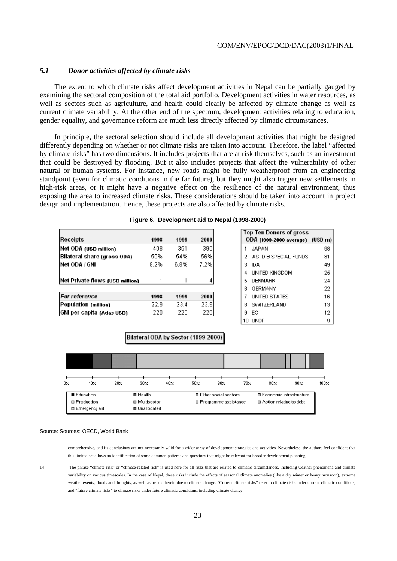# *5.1 Donor activities affected by climate risks*

The extent to which climate risks affect development activities in Nepal can be partially gauged by examining the sectoral composition of the total aid portfolio. Development activities in water resources, as well as sectors such as agriculture, and health could clearly be affected by climate change as well as current climate variability. At the other end of the spectrum, development activities relating to education, gender equality, and governance reform are much less directly affected by climatic circumstances.

In principle, the sectoral selection should include all development activities that might be designed differently depending on whether or not climate risks are taken into account. Therefore, the label "affected by climate risks" has two dimensions. It includes projects that are at risk themselves, such as an investment that could be destroyed by flooding. But it also includes projects that affect the vulnerability of other natural or human systems. For instance, new roads might be fully weatherproof from an engineering standpoint (even for climatic conditions in the far future), but they might also trigger new settlements in high-risk areas, or it might have a negative effect on the resilience of the natural environment, thus exposing the area to increased climate risks. These considerations should be taken into account in project design and implementation. Hence, these projects are also affected by climate risks.

**Figure 6. Development aid to Nepal (1998-2000)** 

| Receipts                        | 1998 | 1999 | 2000 |
|---------------------------------|------|------|------|
| Net ODA (USD million)           | 408  | 351  | 390  |
| Bilateral share (gross ODA)     | 50%  | 54%  | 56%  |
| Net ODA / GNI                   | 8.2% | 6.8% | 7.2% |
| Net Private flows (USD million) | - 1  | - 1  |      |
|                                 |      |      |      |
| For reference                   | 1998 | 1999 | 2000 |
| Population (million)            | 22.9 | 23.4 | 23.9 |
| GNI per capita (Atlas USD)      | 220  | 220  | 220  |

|    | Top Ten Donors of gross         |    |  |  |  |  |  |  |  |  |  |
|----|---------------------------------|----|--|--|--|--|--|--|--|--|--|
|    | ODA (1999-2000 average) (USD m) |    |  |  |  |  |  |  |  |  |  |
| 1  | JAPAN                           | 98 |  |  |  |  |  |  |  |  |  |
| 2  | AS. D B SPECIAL FUNDS           | 81 |  |  |  |  |  |  |  |  |  |
| 3. | IDA.                            | 49 |  |  |  |  |  |  |  |  |  |
| 4  | LINITED KINGDOM                 | 25 |  |  |  |  |  |  |  |  |  |
| 5  | DENMARK                         | 24 |  |  |  |  |  |  |  |  |  |
| 6  | GERMANY                         | 22 |  |  |  |  |  |  |  |  |  |
| 7  | UNITED STATES                   | 16 |  |  |  |  |  |  |  |  |  |
| 8  | SWITZERLAND                     | 13 |  |  |  |  |  |  |  |  |  |
| 9  | EC                              | 12 |  |  |  |  |  |  |  |  |  |
| 10 | <b>UNDP</b>                     | 9  |  |  |  |  |  |  |  |  |  |

### Bilateral ODA by Sector (1999-2000)

| $0\%$                                        | $10\%$ | 20% | 30<                                                                 | 40% | 50% | 60%                                                     | 70% | 80<                                                    | 90< | $100\%$ |
|----------------------------------------------|--------|-----|---------------------------------------------------------------------|-----|-----|---------------------------------------------------------|-----|--------------------------------------------------------|-----|---------|
| Education<br>□ Production<br>□ Emergency aid |        |     | $\blacksquare$ Health<br><b>□ Multisector</b><br><b>Unallocated</b> |     |     | <b>■ Other social sectors</b><br>□ Programme assistance |     | □ Economic infrastructure<br>□ Action relating to debt |     |         |

#### Source: Sources: OECD, World Bank

 comprehensive, and its conclusions are not necessarily valid for a wider array of development strategies and activities. Nevertheless, the authors feel confident that this limited set allows an identification of some common patterns and questions that might be relevant for broader development planning.

14 The phrase "climate risk" or "climate-related risk" is used here for all risks that are related to climatic circumstances, including weather phenomena and climate variability on various timescales. In the case of Nepal, these risks include the effects of seasonal climate anomalies (like a dry winter or heavy monsoon), extreme weather events, floods and droughts, as well as trends therein due to climate change. "Current climate risks" refer to climate risks under current climatic conditions, and "future climate risks" to climate risks under future climatic conditions, including climate change.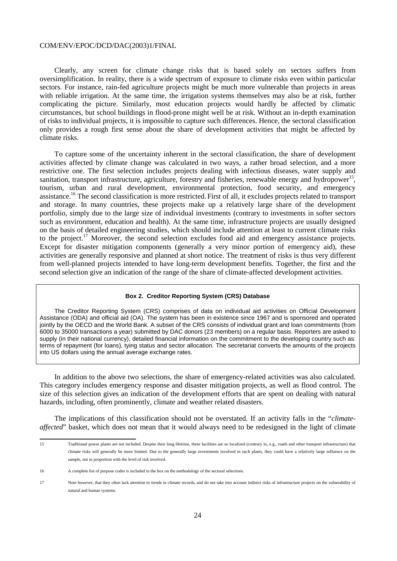Clearly, any screen for climate change risks that is based solely on sectors suffers from oversimplification. In reality, there is a wide spectrum of exposure to climate risks even within particular sectors. For instance, rain-fed agriculture projects might be much more vulnerable than projects in areas with reliable irrigation. At the same time, the irrigation systems themselves may also be at risk, further complicating the picture. Similarly, most education projects would hardly be affected by climatic circumstances, but school buildings in flood-prone might well be at risk. Without an in-depth examination of risks to individual projects, it is impossible to capture such differences. Hence, the sectoral classification only provides a rough first sense about the share of development activities that might be affected by climate risks.

To capture some of the uncertainty inherent in the sectoral classification, the share of development activities affected by climate change was calculated in two ways, a rather broad selection, and a more restrictive one. The first selection includes projects dealing with infectious diseases, water supply and sanitation, transport infrastructure, agriculture, forestry and fisheries, renewable energy and hydropower<sup>15</sup>, tourism, urban and rural development, environmental protection, food security, and emergency assistance.16 The second classification is more restricted. First of all, it excludes projects related to transport and storage. In many countries, these projects make up a relatively large share of the development portfolio, simply due to the large size of individual investments (contrary to investments in softer sectors such as environment, education and health). At the same time, infrastructure projects are usually designed on the basis of detailed engineering studies, which should include attention at least to current climate risks to the project.<sup>17</sup> Moreover, the second selection excludes food aid and emergency assistance projects. Except for disaster mitigation components (generally a very minor portion of emergency aid), these activities are generally responsive and planned at short notice. The treatment of risks is thus very different from well-planned projects intended to have long-term development benefits. Together, the first and the second selection give an indication of the range of the share of climate-affected development activities.

### **Box 2. Creditor Reporting System (CRS) Database**

The Creditor Reporting System (CRS) comprises of data on individual aid activities on Official Development Assistance (ODA) and official aid (OA). The system has been in existence since 1967 and is sponsored and operated jointly by the OECD and the World Bank. A subset of the CRS consists of individual grant and loan commitments (from 6000 to 35000 transactions a year) submitted by DAC donors (23 members) on a regular basis. Reporters are asked to supply (in their national currency), detailed financial information on the commitment to the developing country such as: terms of repayment (for loans), tying status and sector allocation. The secretariat converts the amounts of the projects into US dollars using the annual average exchange rates.

In addition to the above two selections, the share of emergency-related activities was also calculated. This category includes emergency response and disaster mitigation projects, as well as flood control. The size of this selection gives an indication of the development efforts that are spent on dealing with natural hazards, including, often prominently, climate and weather related disasters.

The implications of this classification should not be overstated. If an activity falls in the "*climateaffected*" basket, which does not mean that it would always need to be redesigned in the light of climate

 $15$ 15 Traditional power plants are not included. Despite their long lifetime, these facilities are so localized (contrary to, e.g., roads and other transport infrastructure) that climate risks will generally be more limited. Due to the generally large investments involved in such plants, they could have a relatively large influence on the sample, not in proportion with the level of risk involved.

<sup>16</sup> A complete list of purpose codes is included in the box on the methodology of the sectoral selections.

<sup>17</sup> Note however, that they often lack attention to trends in climate records, and do not take into account indirect risks of infrastructure projects on the vulnerability of natural and human systems.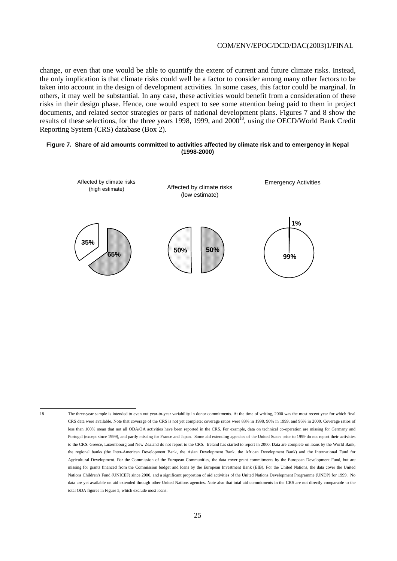change, or even that one would be able to quantify the extent of current and future climate risks. Instead, the only implication is that climate risks could well be a factor to consider among many other factors to be taken into account in the design of development activities. In some cases, this factor could be marginal. In others, it may well be substantial. In any case, these activities would benefit from a consideration of these risks in their design phase. Hence, one would expect to see some attention being paid to them in project documents, and related sector strategies or parts of national development plans. Figures 7 and 8 show the results of these selections, for the three years 1998, 1999, and 2000<sup>18</sup>, using the OECD/World Bank Credit Reporting System (CRS) database (Box 2).

### **Figure 7. Share of aid amounts committed to activities affected by climate risk and to emergency in Nepal (1998-2000)**



The three-year sample is intended to even out year-to-year variability in donor commitments. At the time of writing, 2000 was the most recent year for which final CRS data were available. Note that coverage of the CRS is not yet complete: coverage ratios were 83% in 1998, 90% in 1999, and 95% in 2000. Coverage ratios of less than 100% mean that not all ODA/OA activities have been reported in the CRS. For example, data on technical co-operation are missing for Germany and Portugal (except since 1999), and partly missing for France and Japan. Some aid extending agencies of the United States prior to 1999 do not report their activities to the CRS. Greece, Luxembourg and New Zealand do not report to the CRS. Ireland has started to report in 2000. Data are complete on loans by the World Bank, the regional banks (the Inter-American Development Bank, the Asian Development Bank, the African Development Bank) and the International Fund for Agricultural Development. For the Commission of the European Communities, the data cover grant commitments by the European Development Fund, but are missing for grants financed from the Commission budget and loans by the European Investment Bank (EIB). For the United Nations, the data cover the United Nations Children's Fund (UNICEF) since 2000, and a significant proportion of aid activities of the United Nations Development Programme (UNDP) for 1999. No data are yet available on aid extended through other United Nations agencies. Note also that total aid commitments in the CRS are not directly comparable to the total ODA figures in Figure 5, which exclude most loans.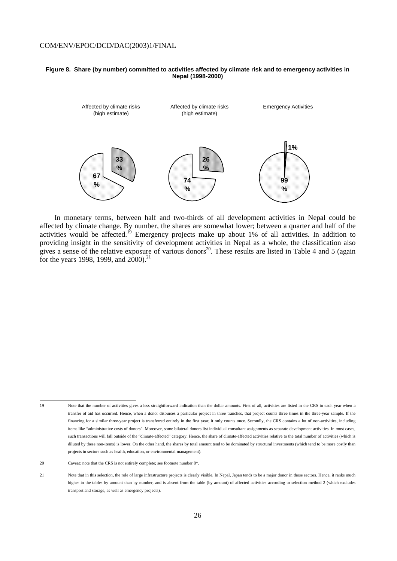### **Figure 8. Share (by number) committed to activities affected by climate risk and to emergency activities in Nepal (1998-2000)**



In monetary terms, between half and two-thirds of all development activities in Nepal could be affected by climate change. By number, the shares are somewhat lower; between a quarter and half of the activities would be affected.<sup>19</sup> Emergency projects make up about 1% of all activities. In addition to providing insight in the sensitivity of development activities in Nepal as a whole, the classification also gives a sense of the relative exposure of various donors<sup>20</sup>. These results are listed in Table 4 and 5 (again for the years 1998, 1999, and 2000).<sup>21</sup>

19

Note that the number of activities gives a less straightforward indication than the dollar amounts. First of all, activities are listed in the CRS in each year when a transfer of aid has occurred. Hence, when a donor disburses a particular project in three tranches, that project counts three times in the three-year sample. If the financing for a similar three-year project is transferred entirely in the first year, it only counts once. Secondly, the CRS contains a lot of non-activities, including items like "administrative costs of donors". Moreover, some bilateral donors list individual consultant assignments as separate development activities. In most cases, such transactions will fall outside of the "climate-affected" category. Hence, the share of climate-affected activities relative to the total number of activities (which is diluted by these non-items) is lower. On the other hand, the shares by total amount tend to be dominated by structural investments (which tend to be more costly than projects in sectors such as health, education, or environmental management).

<sup>20</sup> Caveat: note that the CRS is not entirely complete; see footnote number 8\*.

<sup>21</sup> Note that in this selection, the role of large infrastructure projects is clearly visible. In Nepal, Japan tends to be a major donor in those sectors. Hence, it ranks much higher in the tables by amount than by number, and is absent from the table (by amount) of affected activities according to selection method 2 (which excludes transport and storage, as well as emergency projects).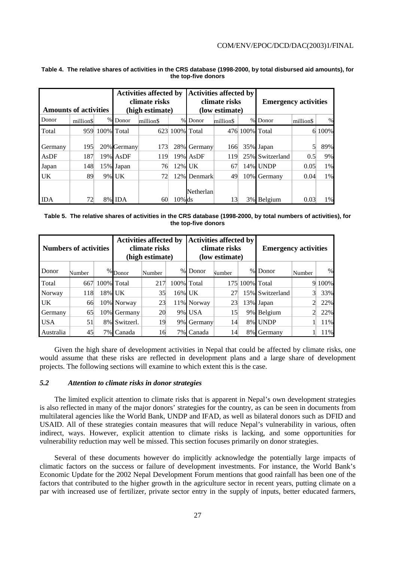| <b>Amounts of activities</b> |                      |    |             | <b>Activities affected by</b><br>climate risks<br>(high estimate) | Activities affected by<br>climate risks<br>(low estimate) |             |           | <b>Emergency activities</b> |                 |           |        |
|------------------------------|----------------------|----|-------------|-------------------------------------------------------------------|-----------------------------------------------------------|-------------|-----------|-----------------------------|-----------------|-----------|--------|
| Donor                        | million <sub>s</sub> |    | % Donor     | million\$                                                         | $\%$                                                      | Donor       | million\$ |                             | % Donor         | million\$ | $\%$   |
| Total                        | 959                  |    | 100% Total  |                                                                   | 623 100% Total                                            |             |           | 476 100% Total              |                 |           | 6 100% |
| Germany                      | 195                  |    | 20% Germany | 173                                                               |                                                           | 28% Germany | 166       |                             | 35% Japan       |           | 89%    |
| AsDF                         | 187                  |    | 19% AsDF    | 119                                                               |                                                           | 19% AsDF    | 119       |                             | 25% Switzerland | 0.5       | 9%     |
| Japan                        | 148                  |    | 15% Japan   | 76                                                                |                                                           | 12% UK      | 67        |                             | 14% UNDP        | 0.05      | 1%     |
| UK                           | 89                   |    | 9% UK       | 72                                                                |                                                           | 12% Denmark | 49        |                             | 10% Germany     | 0.04      | 1%     |
| <b>IDA</b>                   | 72                   | 8% | <b>IDA</b>  | 60                                                                | $10\%$ ds                                                 | Netherlan   | 13        |                             | 3% Belgium      | 0.03      | 1%     |

### **Table 4. The relative shares of activities in the CRS database (1998-2000, by total disbursed aid amounts), for the top-five donors**

| Table 5. The relative shares of activities in the CRS database (1998-2000, by total numbers of activities), for |
|-----------------------------------------------------------------------------------------------------------------|
| the top-five donors                                                                                             |

| <b>Numbers of activities</b> |        |  | <b>Activities affected by</b><br>climate risks<br>(high estimate) |           |      | Activities affected by<br>climate risks<br>(low estimate) |        |                | <b>Emergency activities</b> |        |      |  |
|------------------------------|--------|--|-------------------------------------------------------------------|-----------|------|-----------------------------------------------------------|--------|----------------|-----------------------------|--------|------|--|
| Donor                        | Number |  | $%$ Donor                                                         | Number    | $\%$ | Donor                                                     | Number |                | % Donor                     | Number | $\%$ |  |
| Total                        | 667    |  | 100% Total                                                        | 217       |      | 100% Total                                                |        | 175 100% Total |                             | 9      | 100% |  |
| Norway                       | 118    |  | 18% UK                                                            | 35        |      | 16% UK                                                    | 27     |                | 15% Switzerland             |        | 33%  |  |
| <b>UK</b>                    | 66     |  | 10% Norway                                                        | 23        |      | 11% Norway                                                | 23     |                | 13% Japan                   |        | 22%  |  |
| Germany                      | 65     |  | 10% Germany                                                       | <b>20</b> | 9%   | <b>USA</b>                                                | 15     |                | 9% Belgium                  |        | 22%  |  |
| <b>USA</b>                   | 51     |  | 8% Switzerl.                                                      | 19        | 9%   | Germany                                                   | 14     |                | 8% UNDP                     |        | 11%  |  |
| Australia                    | 45     |  | 7% Canada                                                         | 16        |      | 7% Canada                                                 | 14     |                | 8% Germany                  |        | 11%  |  |

Given the high share of development activities in Nepal that could be affected by climate risks, one would assume that these risks are reflected in development plans and a large share of development projects. The following sections will examine to which extent this is the case.

# *5.2 Attention to climate risks in donor strategies*

The limited explicit attention to climate risks that is apparent in Nepal's own development strategies is also reflected in many of the major donors' strategies for the country, as can be seen in documents from multilateral agencies like the World Bank, UNDP and IFAD, as well as bilateral donors such as DFID and USAID. All of these strategies contain measures that will reduce Nepal's vulnerability in various, often indirect, ways. However, explicit attention to climate risks is lacking, and some opportunities for vulnerability reduction may well be missed. This section focuses primarily on donor strategies.

Several of these documents however do implicitly acknowledge the potentially large impacts of climatic factors on the success or failure of development investments. For instance, the World Bank's Economic Update for the 2002 Nepal Development Forum mentions that good rainfall has been one of the factors that contributed to the higher growth in the agriculture sector in recent years, putting climate on a par with increased use of fertilizer, private sector entry in the supply of inputs, better educated farmers,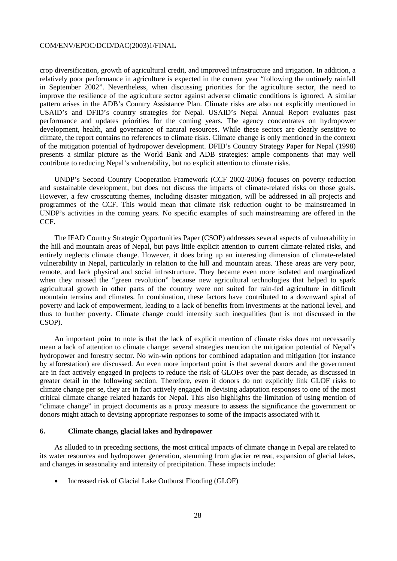crop diversification, growth of agricultural credit, and improved infrastructure and irrigation. In addition, a relatively poor performance in agriculture is expected in the current year "following the untimely rainfall in September 2002". Nevertheless, when discussing priorities for the agriculture sector, the need to improve the resilience of the agriculture sector against adverse climatic conditions is ignored. A similar pattern arises in the ADB's Country Assistance Plan. Climate risks are also not explicitly mentioned in USAID's and DFID's country strategies for Nepal. USAID's Nepal Annual Report evaluates past performance and updates priorities for the coming years. The agency concentrates on hydropower development, health, and governance of natural resources. While these sectors are clearly sensitive to climate, the report contains no references to climate risks. Climate change is only mentioned in the context of the mitigation potential of hydropower development. DFID's Country Strategy Paper for Nepal (1998) presents a similar picture as the World Bank and ADB strategies: ample components that may well contribute to reducing Nepal's vulnerability, but no explicit attention to climate risks.

UNDP's Second Country Cooperation Framework (CCF 2002-2006) focuses on poverty reduction and sustainable development, but does not discuss the impacts of climate-related risks on those goals. However, a few crosscutting themes, including disaster mitigation, will be addressed in all projects and programmes of the CCF. This would mean that climate risk reduction ought to be mainstreamed in UNDP's activities in the coming years. No specific examples of such mainstreaming are offered in the CCF.

The IFAD Country Strategic Opportunities Paper (CSOP) addresses several aspects of vulnerability in the hill and mountain areas of Nepal, but pays little explicit attention to current climate-related risks, and entirely neglects climate change. However, it does bring up an interesting dimension of climate-related vulnerability in Nepal, particularly in relation to the hill and mountain areas. These areas are very poor, remote, and lack physical and social infrastructure. They became even more isolated and marginalized when they missed the "green revolution" because new agricultural technologies that helped to spark agricultural growth in other parts of the country were not suited for rain-fed agriculture in difficult mountain terrains and climates. In combination, these factors have contributed to a downward spiral of poverty and lack of empowerment, leading to a lack of benefits from investments at the national level, and thus to further poverty. Climate change could intensify such inequalities (but is not discussed in the CSOP).

An important point to note is that the lack of explicit mention of climate risks does not necessarily mean a lack of attention to climate change: several strategies mention the mitigation potential of Nepal's hydropower and forestry sector. No win-win options for combined adaptation and mitigation (for instance by afforestation) are discussed. An even more important point is that several donors and the government are in fact actively engaged in projects to reduce the risk of GLOFs over the past decade, as discussed in greater detail in the following section. Therefore, even if donors do not explicitly link GLOF risks to climate change per se, they are in fact actively engaged in devising adaptation responses to one of the most critical climate change related hazards for Nepal. This also highlights the limitation of using mention of "climate change" in project documents as a proxy measure to assess the significance the government or donors might attach to devising appropriate responses to some of the impacts associated with it.

### **6. Climate change, glacial lakes and hydropower**

As alluded to in preceding sections, the most critical impacts of climate change in Nepal are related to its water resources and hydropower generation, stemming from glacier retreat, expansion of glacial lakes, and changes in seasonality and intensity of precipitation. These impacts include:

• Increased risk of Glacial Lake Outburst Flooding (GLOF)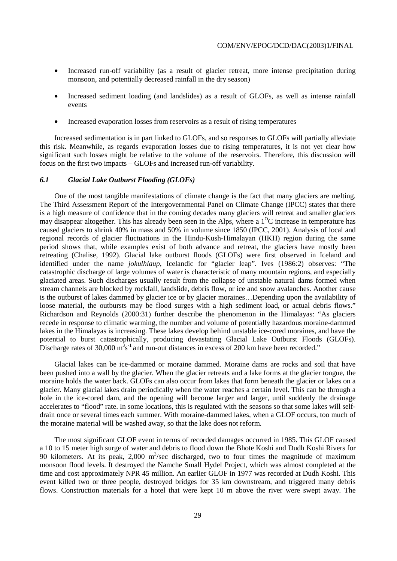- Increased run-off variability (as a result of glacier retreat, more intense precipitation during monsoon, and potentially decreased rainfall in the dry season)
- Increased sediment loading (and landslides) as a result of GLOFs, as well as intense rainfall events
- Increased evaporation losses from reservoirs as a result of rising temperatures

Increased sedimentation is in part linked to GLOFs, and so responses to GLOFs will partially alleviate this risk. Meanwhile, as regards evaporation losses due to rising temperatures, it is not yet clear how significant such losses might be relative to the volume of the reservoirs. Therefore, this discussion will focus on the first two impacts – GLOFs and increased run-off variability.

# *6.1 Glacial Lake Outburst Flooding (GLOFs)*

One of the most tangible manifestations of climate change is the fact that many glaciers are melting. The Third Assessment Report of the Intergovernmental Panel on Climate Change (IPCC) states that there is a high measure of confidence that in the coming decades many glaciers will retreat and smaller glaciers may disappear altogether. This has already been seen in the Alps, where a  $1^{\circ}$ C increase in temperature has caused glaciers to shrink 40% in mass and 50% in volume since 1850 (IPCC, 2001). Analysis of local and regional records of glacier fluctuations in the Hindu-Kush-Himalayan (HKH) region during the same period shows that, while examples exist of both advance and retreat, the glaciers have mostly been retreating (Chalise, 1992). Glacial lake outburst floods (GLOFs) were first observed in Iceland and identified under the name *jokulhlaup*, Icelandic for "glacier leap". Ives (1986:2) observes: "The catastrophic discharge of large volumes of water is characteristic of many mountain regions, and especially glaciated areas. Such discharges usually result from the collapse of unstable natural dams formed when stream channels are blocked by rockfall, landslide, debris flow, or ice and snow avalanches. Another cause is the outburst of lakes dammed by glacier ice or by glacier moraines...Depending upon the availability of loose material, the outbursts may be flood surges with a high sediment load, or actual debris flows." Richardson and Reynolds (2000:31) further describe the phenomenon in the Himalayas: "As glaciers recede in response to climatic warming, the number and volume of potentially hazardous moraine-dammed lakes in the Himalayas is increasing. These lakes develop behind unstable ice-cored moraines, and have the potential to burst catastrophically, producing devastating Glacial Lake Outburst Floods (GLOFs). Discharge rates of 30,000  $\text{m}^3\text{s}^{-1}$  and run-out distances in excess of 200 km have been recorded."

Glacial lakes can be ice-dammed or moraine dammed. Moraine dams are rocks and soil that have been pushed into a wall by the glacier. When the glacier retreats and a lake forms at the glacier tongue, the moraine holds the water back. GLOFs can also occur from lakes that form beneath the glacier or lakes on a glacier. Many glacial lakes drain periodically when the water reaches a certain level. This can be through a hole in the ice-cored dam, and the opening will become larger and larger, until suddenly the drainage accelerates to "flood" rate. In some locations, this is regulated with the seasons so that some lakes will selfdrain once or several times each summer. With moraine-dammed lakes, when a GLOF occurs, too much of the moraine material will be washed away, so that the lake does not reform.

The most significant GLOF event in terms of recorded damages occurred in 1985. This GLOF caused a 10 to 15 meter high surge of water and debris to flood down the Bhote Koshi and Dudh Koshi Rivers for 90 kilometers. At its peak,  $2,000 \text{ m}^3/\text{sec}$  discharged, two to four times the magnitude of maximum monsoon flood levels. It destroyed the Namche Small Hydel Project, which was almost completed at the time and cost approximately NPR 45 million. An earlier GLOF in 1977 was recorded at Dudh Koshi. This event killed two or three people, destroyed bridges for 35 km downstream, and triggered many debris flows. Construction materials for a hotel that were kept 10 m above the river were swept away. The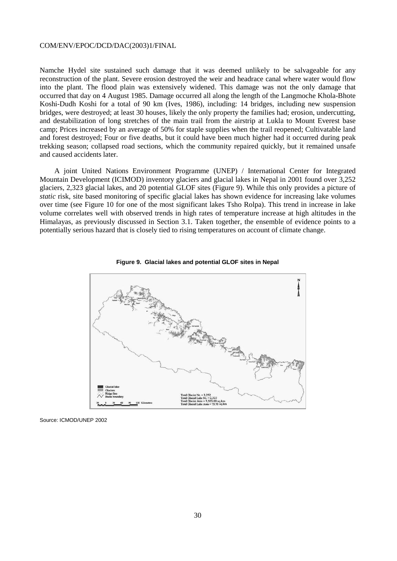Namche Hydel site sustained such damage that it was deemed unlikely to be salvageable for any reconstruction of the plant. Severe erosion destroyed the weir and headrace canal where water would flow into the plant. The flood plain was extensively widened. This damage was not the only damage that occurred that day on 4 August 1985. Damage occurred all along the length of the Langmoche Khola-Bhote Koshi-Dudh Koshi for a total of 90 km (Ives, 1986), including: 14 bridges, including new suspension bridges, were destroyed; at least 30 houses, likely the only property the families had; erosion, undercutting, and destabilization of long stretches of the main trail from the airstrip at Lukla to Mount Everest base camp; Prices increased by an average of 50% for staple supplies when the trail reopened; Cultivatable land and forest destroyed; Four or five deaths, but it could have been much higher had it occurred during peak trekking season; collapsed road sections, which the community repaired quickly, but it remained unsafe and caused accidents later.

A joint United Nations Environment Programme (UNEP) / International Center for Integrated Mountain Development (ICIMOD) inventory glaciers and glacial lakes in Nepal in 2001 found over 3,252 glaciers, 2,323 glacial lakes, and 20 potential GLOF sites (Figure 9). While this only provides a picture of *static* risk, site based monitoring of specific glacial lakes has shown evidence for increasing lake volumes over time (see Figure 10 for one of the most significant lakes Tsho Rolpa). This trend in increase in lake volume correlates well with observed trends in high rates of temperature increase at high altitudes in the Himalayas, as previously discussed in Section 3.1. Taken together, the ensemble of evidence points to a potentially serious hazard that is closely tied to rising temperatures on account of climate change.





Source: ICMOD/UNEP 2002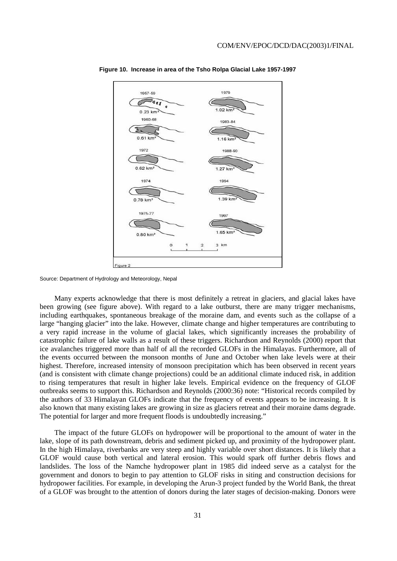

**Figure 10. Increase in area of the Tsho Rolpa Glacial Lake 1957-1997** 

Source: Department of Hydrology and Meteorology, Nepal

Many experts acknowledge that there is most definitely a retreat in glaciers, and glacial lakes have been growing (see figure above). With regard to a lake outburst, there are many trigger mechanisms, including earthquakes, spontaneous breakage of the moraine dam, and events such as the collapse of a large "hanging glacier" into the lake. However, climate change and higher temperatures are contributing to a very rapid increase in the volume of glacial lakes, which significantly increases the probability of catastrophic failure of lake walls as a result of these triggers. Richardson and Reynolds (2000) report that ice avalanches triggered more than half of all the recorded GLOFs in the Himalayas. Furthermore, all of the events occurred between the monsoon months of June and October when lake levels were at their highest. Therefore, increased intensity of monsoon precipitation which has been observed in recent years (and is consistent with climate change projections) could be an additional climate induced risk, in addition to rising temperatures that result in higher lake levels. Empirical evidence on the frequency of GLOF outbreaks seems to support this. Richardson and Reynolds (2000:36) note: "Historical records compiled by the authors of 33 Himalayan GLOFs indicate that the frequency of events appears to be increasing. It is also known that many existing lakes are growing in size as glaciers retreat and their moraine dams degrade. The potential for larger and more frequent floods is undoubtedly increasing."

The impact of the future GLOFs on hydropower will be proportional to the amount of water in the lake, slope of its path downstream, debris and sediment picked up, and proximity of the hydropower plant. In the high Himalaya, riverbanks are very steep and highly variable over short distances. It is likely that a GLOF would cause both vertical and lateral erosion. This would spark off further debris flows and landslides. The loss of the Namche hydropower plant in 1985 did indeed serve as a catalyst for the government and donors to begin to pay attention to GLOF risks in siting and construction decisions for hydropower facilities. For example, in developing the Arun-3 project funded by the World Bank, the threat of a GLOF was brought to the attention of donors during the later stages of decision-making. Donors were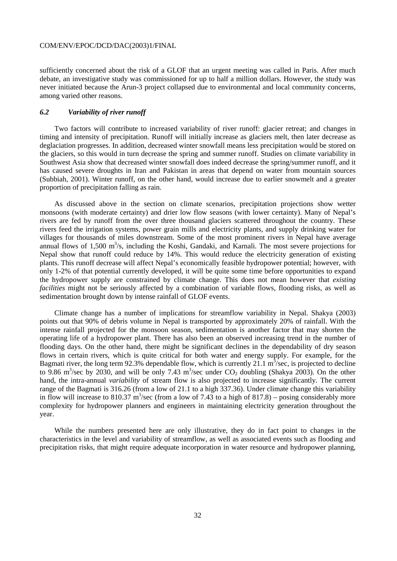sufficiently concerned about the risk of a GLOF that an urgent meeting was called in Paris. After much debate, an investigative study was commissioned for up to half a million dollars. However, the study was never initiated because the Arun-3 project collapsed due to environmental and local community concerns, among varied other reasons.

### *6.2 Variability of river runoff*

Two factors will contribute to increased variability of river runoff: glacier retreat; and changes in timing and intensity of precipitation. Runoff will initially increase as glaciers melt, then later decrease as deglaciation progresses. In addition, decreased winter snowfall means less precipitation would be stored on the glaciers, so this would in turn decrease the spring and summer runoff. Studies on climate variability in Southwest Asia show that decreased winter snowfall does indeed decrease the spring/summer runoff, and it has caused severe droughts in Iran and Pakistan in areas that depend on water from mountain sources (Subbiah, 2001). Winter runoff, on the other hand, would increase due to earlier snowmelt and a greater proportion of precipitation falling as rain.

As discussed above in the section on climate scenarios, precipitation projections show wetter monsoons (with moderate certainty) and drier low flow seasons (with lower certainty). Many of Nepal's rivers are fed by runoff from the over three thousand glaciers scattered throughout the country. These rivers feed the irrigation systems, power grain mills and electricity plants, and supply drinking water for villages for thousands of miles downstream. Some of the most prominent rivers in Nepal have average annual flows of  $1,500 \text{ m}^3$ /s, including the Koshi, Gandaki, and Karnali. The most severe projections for Nepal show that runoff could reduce by 14%. This would reduce the electricity generation of existing plants. This runoff decrease will affect Nepal's economically feasible hydropower potential; however, with only 1-2% of that potential currently developed, it will be quite some time before opportunities to expand the hydropower supply are constrained by climate change. This does not mean however that *existing facilities* might not be seriously affected by a combination of variable flows, flooding risks, as well as sedimentation brought down by intense rainfall of GLOF events.

Climate change has a number of implications for streamflow variability in Nepal. Shakya (2003) points out that 90% of debris volume in Nepal is transported by approximately 20% of rainfall. With the intense rainfall projected for the monsoon season, sedimentation is another factor that may shorten the operating life of a hydropower plant. There has also been an observed increasing trend in the number of flooding days. On the other hand, there might be significant declines in the dependability of dry season flows in certain rivers, which is quite critical for both water and energy supply. For example, for the Bagmati river, the long term 92.3% dependable flow, which is currently 21.1  $m^3$ /sec, is projected to decline to 9.86 m<sup>3</sup>/sec by 2030, and will be only 7.43 m<sup>3</sup>/sec under  $CO_2$  doubling (Shakya 2003). On the other hand, the intra-annual *variability* of stream flow is also projected to increase significantly. The current range of the Bagmati is 316.26 (from a low of 21.1 to a high 337.36). Under climate change this variability in flow will increase to 810.37  $m^3$ /sec (from a low of 7.43 to a high of 817.8) – posing considerably more complexity for hydropower planners and engineers in maintaining electricity generation throughout the year.

While the numbers presented here are only illustrative, they do in fact point to changes in the characteristics in the level and variability of streamflow, as well as associated events such as flooding and precipitation risks, that might require adequate incorporation in water resource and hydropower planning,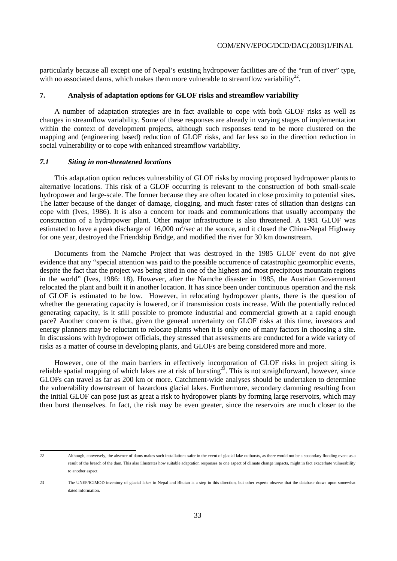particularly because all except one of Nepal's existing hydropower facilities are of the "run of river" type, with no associated dams, which makes them more vulnerable to streamflow variability<sup>22</sup>.

### **7. Analysis of adaptation options for GLOF risks and streamflow variability**

A number of adaptation strategies are in fact available to cope with both GLOF risks as well as changes in streamflow variability. Some of these responses are already in varying stages of implementation within the context of development projects, although such responses tend to be more clustered on the mapping and (engineering based) reduction of GLOF risks, and far less so in the direction reduction in social vulnerability or to cope with enhanced streamflow variability.

### *7.1 Siting in non-threatened locations*

This adaptation option reduces vulnerability of GLOF risks by moving proposed hydropower plants to alternative locations. This risk of a GLOF occurring is relevant to the construction of both small-scale hydropower and large-scale. The former because they are often located in close proximity to potential sites. The latter because of the danger of damage, clogging, and much faster rates of siltation than designs can cope with (Ives, 1986). It is also a concern for roads and communications that usually accompany the construction of a hydropower plant. Other major infrastructure is also threatened. A 1981 GLOF was estimated to have a peak discharge of 16,000  $m^3$ /sec at the source, and it closed the China-Nepal Highway for one year, destroyed the Friendship Bridge, and modified the river for 30 km downstream.

Documents from the Namche Project that was destroyed in the 1985 GLOF event do not give evidence that any "special attention was paid to the possible occurrence of catastrophic geomorphic events, despite the fact that the project was being sited in one of the highest and most precipitous mountain regions in the world" (Ives, 1986: 18). However, after the Namche disaster in 1985, the Austrian Government relocated the plant and built it in another location. It has since been under continuous operation and the risk of GLOF is estimated to be low. However, in relocating hydropower plants, there is the question of whether the generating capacity is lowered, or if transmission costs increase. With the potentially reduced generating capacity, is it still possible to promote industrial and commercial growth at a rapid enough pace? Another concern is that, given the general uncertainty on GLOF risks at this time, investors and energy planners may be reluctant to relocate plants when it is only one of many factors in choosing a site. In discussions with hydropower officials, they stressed that assessments are conducted for a wide variety of risks as a matter of course in developing plants, and GLOFs are being considered more and more.

However, one of the main barriers in effectively incorporation of GLOF risks in project siting is reliable spatial mapping of which lakes are at risk of bursting<sup>23</sup>. This is not straightforward, however, since GLOFs can travel as far as 200 km or more. Catchment-wide analyses should be undertaken to determine the vulnerability downstream of hazardous glacial lakes. Furthermore, secondary damming resulting from the initial GLOF can pose just as great a risk to hydropower plants by forming large reservoirs, which may then burst themselves. In fact, the risk may be even greater, since the reservoirs are much closer to the

 $\overline{22}$ 22 Although, conversely, the absence of dams makes such installations safer in the event of glacial lake outbursts, as there would not be a secondary flooding event as a result of the breach of the dam. This also illustrates how suitable adaptation responses to one aspect of climate change impacts, might in fact exacerbate vulnerability to another aspect.

<sup>23</sup> The UNEP/ICIMOD inventory of glacial lakes in Nepal and Bhutan is a step in this direction, but other experts observe that the database draws upon somewhat dated information.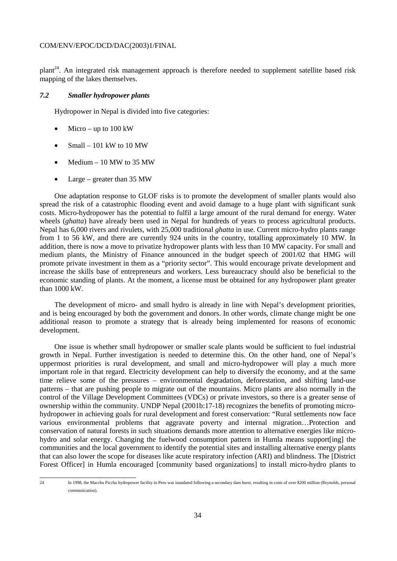plant<sup>24</sup>. An integrated risk management approach is therefore needed to supplement satellite based risk mapping of the lakes themselves.

### *7.2 Smaller hydropower plants*

Hydropower in Nepal is divided into five categories:

- Micro up to  $100 \text{ kW}$
- Small 101 kW to 10 MW
- Medium  $-10$  MW to 35 MW
- Large greater than  $35$  MW

One adaptation response to GLOF risks is to promote the development of smaller plants would also spread the risk of a catastrophic flooding event and avoid damage to a huge plant with significant sunk costs. Micro-hydropower has the potential to fulfil a large amount of the rural demand for energy. Water wheels (*ghatta*) have already been used in Nepal for hundreds of years to process agricultural products. Nepal has 6,000 rivers and rivulets, with 25,000 traditional *ghatta* in use. Current micro-hydro plants range from 1 to 56 kW, and there are currently 924 units in the country, totalling approximately 10 MW. In addition, there is now a move to privatize hydropower plants with less than 10 MW capacity. For small and medium plants, the Ministry of Finance announced in the budget speech of 2001/02 that HMG will promote private investment in them as a "priority sector". This would encourage private development and increase the skills base of entrepreneurs and workers. Less bureaucracy should also be beneficial to the economic standing of plants. At the moment, a license must be obtained for any hydropower plant greater than 1000 kW.

The development of micro- and small hydro is already in line with Nepal's development priorities, and is being encouraged by both the government and donors. In other words, climate change might be one additional reason to promote a strategy that is already being implemented for reasons of economic development.

One issue is whether small hydropower or smaller scale plants would be sufficient to fuel industrial growth in Nepal. Further investigation is needed to determine this. On the other hand, one of Nepal's uppermost priorities is rural development, and small and micro-hydropower will play a much more important role in that regard. Electricity development can help to diversify the economy, and at the same time relieve some of the pressures – environmental degradation, deforestation, and shifting land-use patterns – that are pushing people to migrate out of the mountains. Micro plants are also normally in the control of the Village Development Committees (VDCs) or private investors, so there is a greater sense of ownership within the community. UNDP Nepal (2001b:17-18) recognizes the benefits of promoting microhydropower in achieving goals for rural development and forest conservation: "Rural settlements now face various environmental problems that aggravate poverty and internal migration…Protection and conservation of natural forests in such situations demands more attention to alternative energies like microhydro and solar energy. Changing the fuelwood consumption pattern in Humla means support[ing] the communities and the local government to identify the potential sites and installing alternative energy plants that can also lower the scope for diseases like acute respiratory infection (ARI) and blindness. The [District Forest Officer] in Humla encouraged [community based organizations] to install micro-hydro plants to

 $24$ 

<sup>24</sup> In 1998, the Macchu Picchu hydropower facility in Peru was inundated following a secondary dam burst, resulting in costs of over \$200 million (Reynolds, personal communication).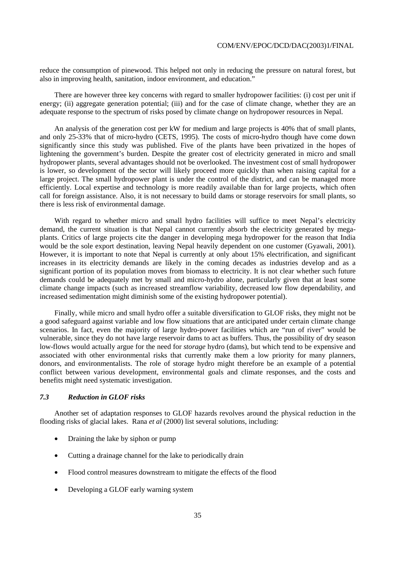reduce the consumption of pinewood. This helped not only in reducing the pressure on natural forest, but also in improving health, sanitation, indoor environment, and education."

There are however three key concerns with regard to smaller hydropower facilities: (i) cost per unit if energy; (ii) aggregate generation potential; (iii) and for the case of climate change, whether they are an adequate response to the spectrum of risks posed by climate change on hydropower resources in Nepal.

An analysis of the generation cost per kW for medium and large projects is 40% that of small plants, and only 25-33% that of micro-hydro (CETS, 1995). The costs of micro-hydro though have come down significantly since this study was published. Five of the plants have been privatized in the hopes of lightening the government's burden. Despite the greater cost of electricity generated in micro and small hydropower plants, several advantages should not be overlooked. The investment cost of small hydropower is lower, so development of the sector will likely proceed more quickly than when raising capital for a large project. The small hydropower plant is under the control of the district, and can be managed more efficiently. Local expertise and technology is more readily available than for large projects, which often call for foreign assistance. Also, it is not necessary to build dams or storage reservoirs for small plants, so there is less risk of environmental damage.

With regard to whether micro and small hydro facilities will suffice to meet Nepal's electricity demand, the current situation is that Nepal cannot currently absorb the electricity generated by megaplants. Critics of large projects cite the danger in developing mega hydropower for the reason that India would be the sole export destination, leaving Nepal heavily dependent on one customer (Gyawali, 2001). However, it is important to note that Nepal is currently at only about 15% electrification, and significant increases in its electricity demands are likely in the coming decades as industries develop and as a significant portion of its population moves from biomass to electricity. It is not clear whether such future demands could be adequately met by small and micro-hydro alone, particularly given that at least some climate change impacts (such as increased streamflow variability, decreased low flow dependability, and increased sedimentation might diminish some of the existing hydropower potential).

Finally, while micro and small hydro offer a suitable diversification to GLOF risks, they might not be a good safeguard against variable and low flow situations that are anticipated under certain climate change scenarios. In fact, even the majority of large hydro-power facilities which are "run of river" would be vulnerable, since they do not have large reservoir dams to act as buffers. Thus, the possibility of dry season low-flows would actually argue for the need for *storage* hydro (dams), but which tend to be expensive and associated with other environmental risks that currently make them a low priority for many planners, donors, and environmentalists. The role of storage hydro might therefore be an example of a potential conflict between various development, environmental goals and climate responses, and the costs and benefits might need systematic investigation.

# *7.3 Reduction in GLOF risks*

Another set of adaptation responses to GLOF hazards revolves around the physical reduction in the flooding risks of glacial lakes. Rana *et al* (2000) list several solutions, including:

- Draining the lake by siphon or pump
- Cutting a drainage channel for the lake to periodically drain
- Flood control measures downstream to mitigate the effects of the flood
- Developing a GLOF early warning system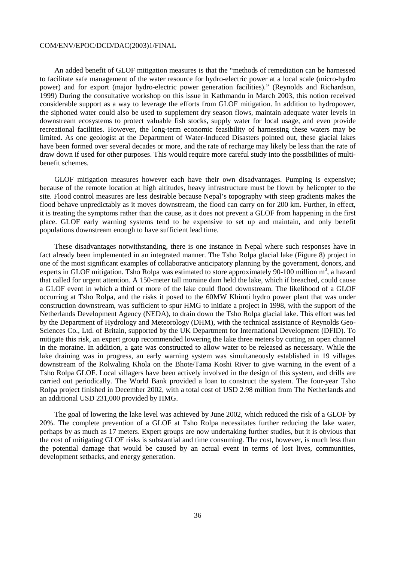An added benefit of GLOF mitigation measures is that the "methods of remediation can be harnessed to facilitate safe management of the water resource for hydro-electric power at a local scale (micro-hydro power) and for export (major hydro-electric power generation facilities)." (Reynolds and Richardson, 1999) During the consultative workshop on this issue in Kathmandu in March 2003, this notion received considerable support as a way to leverage the efforts from GLOF mitigation. In addition to hydropower, the siphoned water could also be used to supplement dry season flows, maintain adequate water levels in downstream ecosystems to protect valuable fish stocks, supply water for local usage, and even provide recreational facilities. However, the long-term economic feasibility of harnessing these waters may be limited. As one geologist at the Department of Water-Induced Disasters pointed out, these glacial lakes have been formed over several decades or more, and the rate of recharge may likely be less than the rate of draw down if used for other purposes. This would require more careful study into the possibilities of multibenefit schemes.

GLOF mitigation measures however each have their own disadvantages. Pumping is expensive; because of the remote location at high altitudes, heavy infrastructure must be flown by helicopter to the site. Flood control measures are less desirable because Nepal's topography with steep gradients makes the flood behave unpredictably as it moves downstream, the flood can carry on for 200 km. Further, in effect, it is treating the symptoms rather than the cause, as it does not prevent a GLOF from happening in the first place. GLOF early warning systems tend to be expensive to set up and maintain, and only benefit populations downstream enough to have sufficient lead time.

These disadvantages notwithstanding, there is one instance in Nepal where such responses have in fact already been implemented in an integrated manner. The Tsho Rolpa glacial lake (Figure 8) project in one of the most significant examples of collaborative anticipatory planning by the government, donors, and experts in GLOF mitigation. Tsho Rolpa was estimated to store approximately 90-100 million  $m<sup>3</sup>$ , a hazard that called for urgent attention. A 150-meter tall moraine dam held the lake, which if breached, could cause a GLOF event in which a third or more of the lake could flood downstream. The likelihood of a GLOF occurring at Tsho Rolpa, and the risks it posed to the 60MW Khimti hydro power plant that was under construction downstream, was sufficient to spur HMG to initiate a project in 1998, with the support of the Netherlands Development Agency (NEDA), to drain down the Tsho Rolpa glacial lake. This effort was led by the Department of Hydrology and Meteorology (DHM), with the technical assistance of Reynolds Geo-Sciences Co., Ltd. of Britain, supported by the UK Department for International Development (DFID). To mitigate this risk, an expert group recommended lowering the lake three meters by cutting an open channel in the moraine. In addition, a gate was constructed to allow water to be released as necessary. While the lake draining was in progress, an early warning system was simultaneously established in 19 villages downstream of the Rolwaling Khola on the Bhote/Tama Koshi River to give warning in the event of a Tsho Rolpa GLOF. Local villagers have been actively involved in the design of this system, and drills are carried out periodically. The World Bank provided a loan to construct the system. The four-year Tsho Rolpa project finished in December 2002, with a total cost of USD 2.98 million from The Netherlands and an additional USD 231,000 provided by HMG.

The goal of lowering the lake level was achieved by June 2002, which reduced the risk of a GLOF by 20%. The complete prevention of a GLOF at Tsho Rolpa necessitates further reducing the lake water, perhaps by as much as 17 meters. Expert groups are now undertaking further studies, but it is obvious that the cost of mitigating GLOF risks is substantial and time consuming. The cost, however, is much less than the potential damage that would be caused by an actual event in terms of lost lives, communities, development setbacks, and energy generation.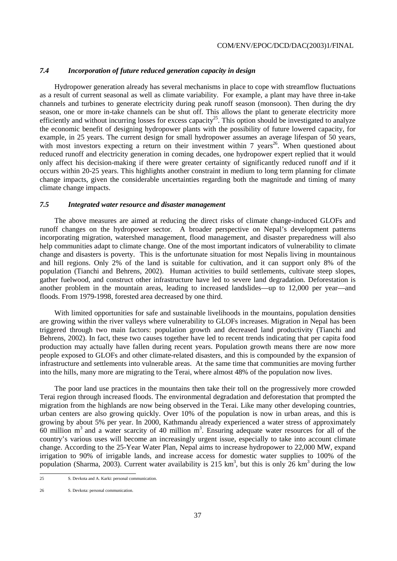# *7.4 Incorporation of future reduced generation capacity in design*

Hydropower generation already has several mechanisms in place to cope with streamflow fluctuations as a result of current seasonal as well as climate variability. For example, a plant may have three in-take channels and turbines to generate electricity during peak runoff season (monsoon). Then during the dry season, one or more in-take channels can be shut off. This allows the plant to generate electricity more efficiently and without incurring losses for excess capacity<sup>25</sup>. This option should be investigated to analyze the economic benefit of designing hydropower plants with the possibility of future lowered capacity, for example, in 25 years. The current design for small hydropower assumes an average lifespan of 50 years, with most investors expecting a return on their investment within 7 years<sup>26</sup>. When questioned about reduced runoff and electricity generation in coming decades, one hydropower expert replied that it would only affect his decision-making if there were greater certainty of significantly reduced runoff *and* if it occurs within 20-25 years. This highlights another constraint in medium to long term planning for climate change impacts, given the considerable uncertainties regarding both the magnitude and timing of many climate change impacts.

### *7.5 Integrated water resource and disaster management*

The above measures are aimed at reducing the direct risks of climate change-induced GLOFs and runoff changes on the hydropower sector. A broader perspective on Nepal's development patterns incorporating migration, watershed management, flood management, and disaster preparedness will also help communities adapt to climate change. One of the most important indicators of vulnerability to climate change and disasters is poverty. This is the unfortunate situation for most Nepalis living in mountainous and hill regions. Only 2% of the land is suitable for cultivation, and it can support only 8% of the population (Tianchi and Behrens, 2002). Human activities to build settlements, cultivate steep slopes, gather fuelwood, and construct other infrastructure have led to severe land degradation. Deforestation is another problem in the mountain areas, leading to increased landslides—up to 12,000 per year—and floods. From 1979-1998, forested area decreased by one third.

With limited opportunities for safe and sustainable livelihoods in the mountains, population densities are growing within the river valleys where vulnerability to GLOFs increases. Migration in Nepal has been triggered through two main factors: population growth and decreased land productivity (Tianchi and Behrens, 2002). In fact, these two causes together have led to recent trends indicating that per capita food production may actually have fallen during recent years. Population growth means there are now more people exposed to GLOFs and other climate-related disasters, and this is compounded by the expansion of infrastructure and settlements into vulnerable areas. At the same time that communities are moving further into the hills, many more are migrating to the Terai, where almost 48% of the population now lives.

The poor land use practices in the mountains then take their toll on the progressively more crowded Terai region through increased floods. The environmental degradation and deforestation that prompted the migration from the highlands are now being observed in the Terai. Like many other developing countries, urban centers are also growing quickly. Over 10% of the population is now in urban areas, and this is growing by about 5% per year. In 2000, Kathmandu already experienced a water stress of approximately  $60$  million m<sup>3</sup> and a water scarcity of 40 million m<sup>3</sup>. Ensuring adequate water resources for all of the country's various uses will become an increasingly urgent issue, especially to take into account climate change. According to the 25-Year Water Plan, Nepal aims to increase hydropower to 22,000 MW, expand irrigation to 90% of irrigable lands, and increase access for domestic water supplies to 100% of the population (Sharma, 2003). Current water availability is 215 km<sup>3</sup>, but this is only  $26 \text{ km}^3$  during the low

 $25\overline{)}$ 25 S. Devkota and A. Karki: personal communication.

<sup>26</sup> S. Devkota: personal communication.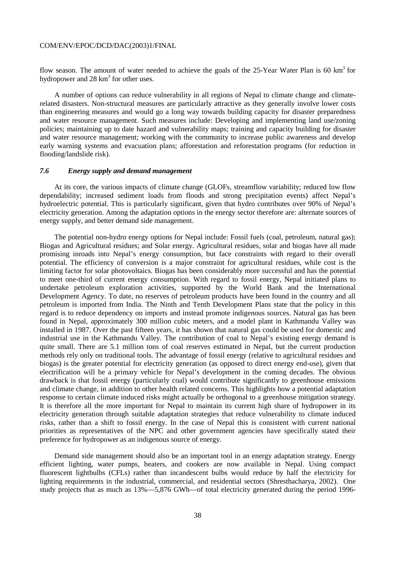flow season. The amount of water needed to achieve the goals of the 25-Year Water Plan is 60 km<sup>3</sup> for hydropower and  $28 \text{ km}^3$  for other uses.

A number of options can reduce vulnerability in all regions of Nepal to climate change and climaterelated disasters. Non-structural measures are particularly attractive as they generally involve lower costs than engineering measures and would go a long way towards building capacity for disaster preparedness and water resource management. Such measures include: Developing and implementing land use/zoning policies; maintaining up to date hazard and vulnerability maps; training and capacity building for disaster and water resource management; working with the community to increase public awareness and develop early warning systems and evacuation plans; afforestation and reforestation programs (for reduction in flooding/landslide risk).

# *7.6 Energy supply and demand management*

At its core, the various impacts of climate change (GLOFs, streamflow variability; reduced low flow dependability; increased sediment loads from floods and strong precipitation events) affect Nepal's hydroelectric potential. This is particularly significant, given that hydro contributes over 90% of Nepal's electricity generation. Among the adaptation options in the energy sector therefore are: alternate sources of energy supply, and better demand side management.

The potential non-hydro energy options for Nepal include: Fossil fuels (coal, petroleum, natural gas); Biogas and Agricultural residues; and Solar energy. Agricultural residues, solar and biogas have all made promising inroads into Nepal's energy consumption, but face constraints with regard to their overall potential. The efficiency of conversion is a major constraint for agricultural residues, while cost is the limiting factor for solar photovoltaics. Biogas has been considerably more successful and has the potential to meet one-third of current energy consumption. With regard to fossil energy, Nepal initiated plans to undertake petroleum exploration activities, supported by the World Bank and the International Development Agency. To date, no reserves of petroleum products have been found in the country and all petroleum is imported from India. The Ninth and Tenth Development Plans state that the policy in this regard is to reduce dependency on imports and instead promote indigenous sources. Natural gas has been found in Nepal, approximately 300 million cubic meters, and a model plant in Kathmandu Valley was installed in 1987. Over the past fifteen years, it has shown that natural gas could be used for domestic and industrial use in the Kathmandu Valley. The contribution of coal to Nepal's existing energy demand is quite small. There are 5.1 million tons of coal reserves estimated in Nepal, but the current production methods rely only on traditional tools. The advantage of fossil energy (relative to agricultural residues and biogas) is the greater potential for electricity generation (as opposed to direct energy end-use), given that electrification will be a primary vehicle for Nepal's development in the coming decades. The obvious drawback is that fossil energy (particularly coal) would contribute significantly to greenhouse emissions and climate change, in addition to other health related concerns. This highlights how a potential adaptation response to certain climate induced risks might actually be orthogonal to a greenhouse mitigation strategy. It is therefore all the more important for Nepal to maintain its current high share of hydropower in its electricity generation through suitable adaptation strategies that reduce vulnerability to climate induced risks, rather than a shift to fossil energy. In the case of Nepal this is consistent with current national priorities as representatives of the NPC and other government agencies have specifically stated their preference for hydropower as an indigenous source of energy.

Demand side management should also be an important tool in an energy adaptation strategy. Energy efficient lighting, water pumps, heaters, and cookers are now available in Nepal. Using compact fluorescent lightbulbs (CFLs) rather than incandescent bulbs would reduce by half the electricity for lighting requirements in the industrial, commercial, and residential sectors (Shresthacharya, 2002). One study projects that as much as 13%—5,876 GWh—of total electricity generated during the period 1996-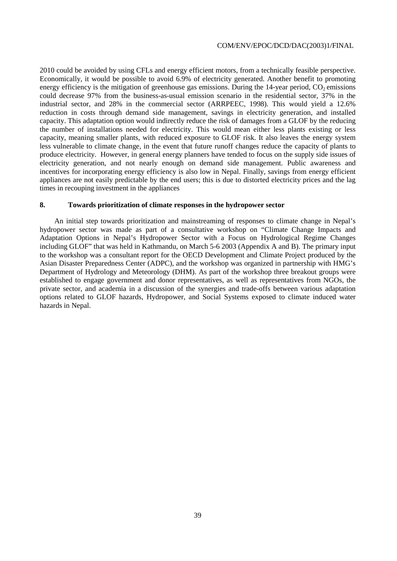2010 could be avoided by using CFLs and energy efficient motors, from a technically feasible perspective. Economically, it would be possible to avoid 6.9% of electricity generated. Another benefit to promoting energy efficiency is the mitigation of greenhouse gas emissions. During the 14-year period,  $CO<sub>2</sub>$  emissions could decrease 97% from the business-as-usual emission scenario in the residential sector, 37% in the industrial sector, and 28% in the commercial sector (ARRPEEC, 1998). This would yield a 12.6% reduction in costs through demand side management, savings in electricity generation, and installed capacity. This adaptation option would indirectly reduce the risk of damages from a GLOF by the reducing the number of installations needed for electricity. This would mean either less plants existing or less capacity, meaning smaller plants, with reduced exposure to GLOF risk. It also leaves the energy system less vulnerable to climate change, in the event that future runoff changes reduce the capacity of plants to produce electricity. However, in general energy planners have tended to focus on the supply side issues of electricity generation, and not nearly enough on demand side management. Public awareness and incentives for incorporating energy efficiency is also low in Nepal. Finally, savings from energy efficient appliances are not easily predictable by the end users; this is due to distorted electricity prices and the lag times in recouping investment in the appliances

# **8. Towards prioritization of climate responses in the hydropower sector**

An initial step towards prioritization and mainstreaming of responses to climate change in Nepal's hydropower sector was made as part of a consultative workshop on "Climate Change Impacts and Adaptation Options in Nepal's Hydropower Sector with a Focus on Hydrological Regime Changes including GLOF" that was held in Kathmandu, on March 5-6 2003 (Appendix A and B). The primary input to the workshop was a consultant report for the OECD Development and Climate Project produced by the Asian Disaster Preparedness Center (ADPC), and the workshop was organized in partnership with HMG's Department of Hydrology and Meteorology (DHM). As part of the workshop three breakout groups were established to engage government and donor representatives, as well as representatives from NGOs, the private sector, and academia in a discussion of the synergies and trade-offs between various adaptation options related to GLOF hazards, Hydropower, and Social Systems exposed to climate induced water hazards in Nepal.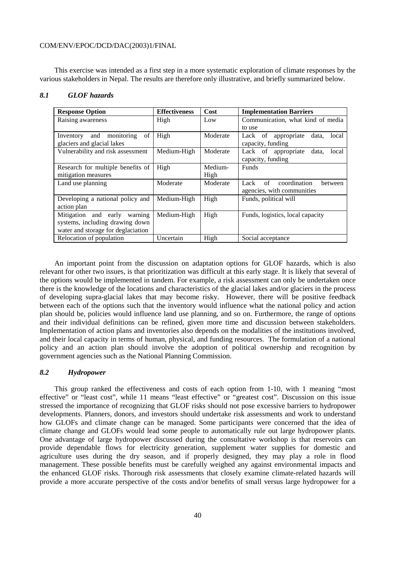This exercise was intended as a first step in a more systematic exploration of climate responses by the various stakeholders in Nepal. The results are therefore only illustrative, and briefly summarized below.

| <b>Response Option</b>             | <b>Effectiveness</b> | Cost     | <b>Implementation Barriers</b>               |  |
|------------------------------------|----------------------|----------|----------------------------------------------|--|
| Raising awareness                  | High                 | Low      | Communication, what kind of media            |  |
|                                    |                      |          | to use                                       |  |
| of<br>Inventory and monitoring     | High                 | Moderate | data,<br>local<br>Lack of appropriate        |  |
| glaciers and glacial lakes         |                      |          | capacity, funding                            |  |
| Vulnerability and risk assessment  | Medium-High          | Moderate | Lack of appropriate<br>data,<br>local        |  |
|                                    |                      |          | capacity, funding                            |  |
| Research for multiple benefits of  | High                 | Medium-  | Funds                                        |  |
| mitigation measures                |                      | High     |                                              |  |
| Land use planning                  | Moderate             | Moderate | coordination<br>of<br>Lack<br><b>between</b> |  |
|                                    |                      |          | agencies, with communities                   |  |
| Developing a national policy and   | Medium-High          | High     | Funds, political will                        |  |
| action plan                        |                      |          |                                              |  |
| Mitigation and early<br>warning    | Medium-High          | High     | Funds, logistics, local capacity             |  |
| systems, including drawing down    |                      |          |                                              |  |
| water and storage for deglaciation |                      |          |                                              |  |
| Relocation of population           | Uncertain            | High     | Social acceptance                            |  |

### *8.1 GLOF hazards*

An important point from the discussion on adaptation options for GLOF hazards, which is also relevant for other two issues, is that prioritization was difficult at this early stage. It is likely that several of the options would be implemented in tandem. For example, a risk assessment can only be undertaken once there is the knowledge of the locations and characteristics of the glacial lakes and/or glaciers in the process of developing supra-glacial lakes that may become risky. However, there will be positive feedback between each of the options such that the inventory would influence what the national policy and action plan should be, policies would influence land use planning, and so on. Furthermore, the range of options and their individual definitions can be refined, given more time and discussion between stakeholders. Implementation of action plans and inventories also depends on the modalities of the institutions involved, and their local capacity in terms of human, physical, and funding resources. The formulation of a national policy and an action plan should involve the adoption of political ownership and recognition by government agencies such as the National Planning Commission.

# *8.2 Hydropower*

This group ranked the effectiveness and costs of each option from 1-10, with 1 meaning "most effective" or "least cost", while 11 means "least effective" or "greatest cost". Discussion on this issue stressed the importance of recognizing that GLOF risks should not pose excessive barriers to hydropower developments. Planners, donors, and investors should undertake risk assessments and work to understand how GLOFs and climate change can be managed. Some participants were concerned that the idea of climate change and GLOFs would lead some people to automatically rule out large hydropower plants. One advantage of large hydropower discussed during the consultative workshop is that reservoirs can provide dependable flows for electricity generation, supplement water supplies for domestic and agriculture uses during the dry season, and if properly designed, they may play a role in flood management. These possible benefits must be carefully weighed any against environmental impacts and the enhanced GLOF risks. Thorough risk assessments that closely examine climate-related hazards will provide a more accurate perspective of the costs and/or benefits of small versus large hydropower for a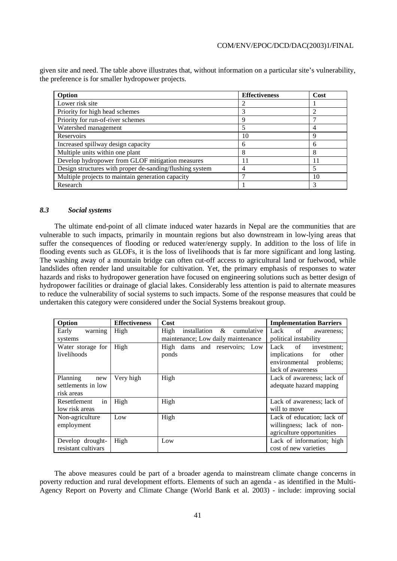given site and need. The table above illustrates that, without information on a particular site's vulnerability, the preference is for smaller hydropower projects.

| Option                                                   | <b>Effectiveness</b> | Cost |
|----------------------------------------------------------|----------------------|------|
| Lower risk site                                          |                      |      |
| Priority for high head schemes                           | 3                    | 2    |
| Priority for run-of-river schemes                        | 9                    |      |
| Watershed management                                     | 5                    | 4    |
| Reservoirs                                               | 10                   | Q    |
| Increased spillway design capacity                       | 6                    | 6    |
| Multiple units within one plant                          | 8                    | 8    |
| Develop hydropower from GLOF mitigation measures         | 11                   | 11   |
| Design structures with proper de-sanding/flushing system | 4                    | 5    |
| Multiple projects to maintain generation capacity        |                      | 10   |
| Research                                                 |                      | 3    |

# *8.3 Social systems*

The ultimate end-point of all climate induced water hazards in Nepal are the communities that are vulnerable to such impacts, primarily in mountain regions but also downstream in low-lying areas that suffer the consequences of flooding or reduced water/energy supply. In addition to the loss of life in flooding events such as GLOFs, it is the loss of livelihoods that is far more significant and long lasting. The washing away of a mountain bridge can often cut-off access to agricultural land or fuelwood, while landslides often render land unsuitable for cultivation. Yet, the primary emphasis of responses to water hazards and risks to hydropower generation have focused on engineering solutions such as better design of hydropower facilities or drainage of glacial lakes. Considerably less attention is paid to alternate measures to reduce the vulnerability of social systems to such impacts. Some of the response measures that could be undertaken this category were considered under the Social Systems breakout group.

| Option              | <b>Effectiveness</b> | Cost                                    | <b>Implementation Barriers</b> |
|---------------------|----------------------|-----------------------------------------|--------------------------------|
| Early<br>warning    | High                 | High<br>&<br>installation<br>cumulative | Lack<br>of<br>awareness:       |
| systems             |                      | maintenance; Low daily maintenance      | political instability          |
| Water storage for   | High                 | High dams and reservoirs; Low           | Lack<br>of<br>investment:      |
| livelihoods         |                      | ponds                                   | implications<br>for<br>other   |
|                     |                      |                                         | environmental problems;        |
|                     |                      |                                         | lack of awareness              |
| Planning<br>new     | Very high            | High                                    | Lack of awareness; lack of     |
| settlements in low  |                      |                                         | adequate hazard mapping        |
| risk areas          |                      |                                         |                                |
| Resettlement<br>in  | High                 | High                                    | Lack of awareness; lack of     |
| low risk areas      |                      |                                         | will to move                   |
| Non-agriculture     | Low                  | High                                    | Lack of education; lack of     |
| employment          |                      |                                         | willingness; lack of non-      |
|                     |                      |                                         | agriculture opportunities      |
| Develop drought-    | High                 | Low                                     | Lack of information; high      |
| resistant cultivars |                      |                                         | cost of new varieties          |

The above measures could be part of a broader agenda to mainstream climate change concerns in poverty reduction and rural development efforts. Elements of such an agenda - as identified in the Multi-Agency Report on Poverty and Climate Change (World Bank et al. 2003) - include: improving social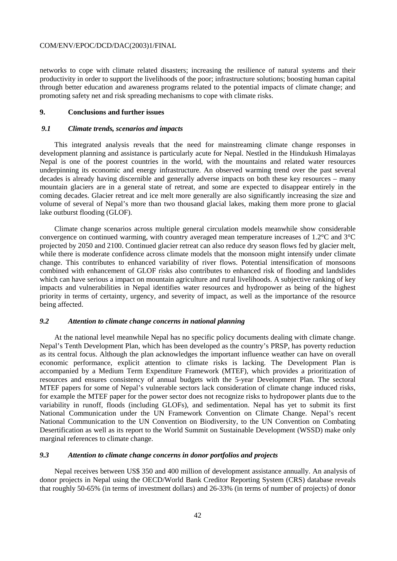networks to cope with climate related disasters; increasing the resilience of natural systems and their productivity in order to support the livelihoods of the poor; infrastructure solutions; boosting human capital through better education and awareness programs related to the potential impacts of climate change; and promoting safety net and risk spreading mechanisms to cope with climate risks.

### **9. Conclusions and further issues**

### *9.1 Climate trends, scenarios and impacts*

This integrated analysis reveals that the need for mainstreaming climate change responses in development planning and assistance is particularly acute for Nepal. Nestled in the Hindukush Himalayas Nepal is one of the poorest countries in the world, with the mountains and related water resources underpinning its economic and energy infrastructure. An observed warming trend over the past several decades is already having discernible and generally adverse impacts on both these key resources – many mountain glaciers are in a general state of retreat, and some are expected to disappear entirely in the coming decades. Glacier retreat and ice melt more generally are also significantly increasing the size and volume of several of Nepal's more than two thousand glacial lakes, making them more prone to glacial lake outburst flooding (GLOF).

Climate change scenarios across multiple general circulation models meanwhile show considerable convergence on continued warming, with country averaged mean temperature increases of 1.2°C and 3°C projected by 2050 and 2100. Continued glacier retreat can also reduce dry season flows fed by glacier melt, while there is moderate confidence across climate models that the monsoon might intensify under climate change. This contributes to enhanced variability of river flows. Potential intensification of monsoons combined with enhancement of GLOF risks also contributes to enhanced risk of flooding and landslides which can have serious a impact on mountain agriculture and rural livelihoods. A subjective ranking of key impacts and vulnerabilities in Nepal identifies water resources and hydropower as being of the highest priority in terms of certainty, urgency, and severity of impact, as well as the importance of the resource being affected.

# *9.2 Attention to climate change concerns in national planning*

At the national level meanwhile Nepal has no specific policy documents dealing with climate change. Nepal's Tenth Development Plan, which has been developed as the country's PRSP, has poverty reduction as its central focus. Although the plan acknowledges the important influence weather can have on overall economic performance, explicit attention to climate risks is lacking. The Development Plan is accompanied by a Medium Term Expenditure Framework (MTEF), which provides a prioritization of resources and ensures consistency of annual budgets with the 5-year Development Plan. The sectoral MTEF papers for some of Nepal's vulnerable sectors lack consideration of climate change induced risks, for example the MTEF paper for the power sector does not recognize risks to hydropower plants due to the variability in runoff, floods (including GLOFs), and sedimentation. Nepal has yet to submit its first National Communication under the UN Framework Convention on Climate Change. Nepal's recent National Communication to the UN Convention on Biodiversity, to the UN Convention on Combating Desertification as well as its report to the World Summit on Sustainable Development (WSSD) make only marginal references to climate change.

# *9.3 Attention to climate change concerns in donor portfolios and projects*

Nepal receives between US\$ 350 and 400 million of development assistance annually. An analysis of donor projects in Nepal using the OECD/World Bank Creditor Reporting System (CRS) database reveals that roughly 50-65% (in terms of investment dollars) and 26-33% (in terms of number of projects) of donor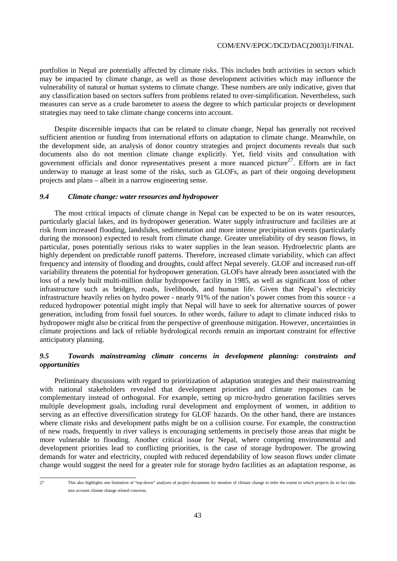portfolios in Nepal are potentially affected by climate risks. This includes both activities in sectors which may be impacted by climate change, as well as those development activities which may influence the vulnerability of natural or human systems to climate change. These numbers are only indicative, given that any classification based on sectors suffers from problems related to over-simplification. Nevertheless, such measures can serve as a crude barometer to assess the degree to which particular projects or development strategies may need to take climate change concerns into account.

Despite discernible impacts that can be related to climate change, Nepal has generally not received sufficient attention or funding from international efforts on adaptation to climate change. Meanwhile, on the development side, an analysis of donor country strategies and project documents reveals that such documents also do not mention climate change explicitly. Yet, field visits and consultation with government officials and donor representatives present a more nuanced picture<sup>27</sup>. Efforts are in fact underway to manage at least some of the risks, such as GLOFs, as part of their ongoing development projects and plans – albeit in a narrow engineering sense.

# *9.4 Climate change: water resources and hydropower*

The most critical impacts of climate change in Nepal can be expected to be on its water resources, particularly glacial lakes, and its hydropower generation. Water supply infrastructure and facilities are at risk from increased flooding, landslides, sedimentation and more intense precipitation events (particularly during the monsoon) expected to result from climate change. Greater unreliability of dry season flows, in particular, poses potentially serious risks to water supplies in the lean season. Hydroelectric plants are highly dependent on predictable runoff patterns. Therefore, increased climate variability, which can affect frequency and intensity of flooding and droughts, could affect Nepal severely. GLOF and increased run-off variability threatens the potential for hydropower generation. GLOFs have already been associated with the loss of a newly built multi-million dollar hydropower facility in 1985, as well as significant loss of other infrastructure such as bridges, roads, livelihoods, and human life. Given that Nepal's electricity infrastructure heavily relies on hydro power - nearly 91% of the nation's power comes from this source - a reduced hydropower potential might imply that Nepal will have to seek for alternative sources of power generation, including from fossil fuel sources. In other words, failure to adapt to climate induced risks to hydropower might also be critical from the perspective of greenhouse mitigation. However, uncertainties in climate projections and lack of reliable hydrological records remain an important constraint for effective anticipatory planning.

# *9.5 Towards mainstreaming climate concerns in development planning: constraints and opportunities*

Preliminary discussions with regard to prioritization of adaptation strategies and their mainstreaming with national stakeholders revealed that development priorities and climate responses can be complementary instead of orthogonal. For example, setting up micro-hydro generation facilities serves multiple development goals, including rural development and employment of women, in addition to serving as an effective diversification strategy for GLOF hazards. On the other hand, there are instances where climate risks and development paths might be on a collision course. For example, the construction of new roads, frequently in river valleys is encouraging settlements in precisely those areas that might be more vulnerable to flooding. Another critical issue for Nepal, where competing environmental and development priorities lead to conflicting priorities, is the case of storage hydropower. The growing demands for water and electricity, coupled with reduced dependability of low season flows under climate change would suggest the need for a greater role for storage hydro facilities as an adaptation response, as

27

<sup>27</sup> This also highlights one limitation of "top-down" analyses of project documents for mention of climate change to infer the extent to which projects do in fact take into account climate change related concerns.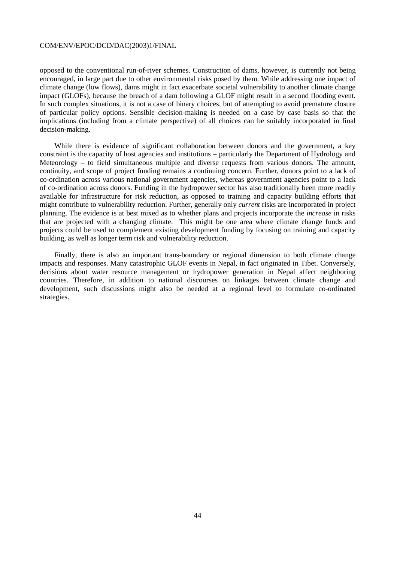opposed to the conventional run-of-river schemes. Construction of dams, however, is currently not being encouraged, in large part due to other environmental risks posed by them. While addressing one impact of climate change (low flows), dams might in fact exacerbate societal vulnerability to another climate change impact (GLOFs), because the breach of a dam following a GLOF might result in a second flooding event. In such complex situations, it is not a case of binary choices, but of attempting to avoid premature closure of particular policy options. Sensible decision-making is needed on a case by case basis so that the implications (including from a climate perspective) of all choices can be suitably incorporated in final decision-making.

While there is evidence of significant collaboration between donors and the government, a key constraint is the capacity of host agencies and institutions – particularly the Department of Hydrology and Meteorology – to field simultaneous multiple and diverse requests from various donors. The amount, continuity, and scope of project funding remains a continuing concern. Further, donors point to a lack of co-ordination across various national government agencies, whereas government agencies point to a lack of co-ordination across donors. Funding in the hydropower sector has also traditionally been more readily available for infrastructure for risk reduction, as opposed to training and capacity building efforts that might contribute to vulnerability reduction. Further, generally only *current* risks are incorporated in project planning. The evidence is at best mixed as to whether plans and projects incorporate the *increase* in risks that are projected with a changing climate. This might be one area where climate change funds and projects could be used to complement existing development funding by focusing on training and capacity building, as well as longer term risk and vulnerability reduction.

Finally, there is also an important trans-boundary or regional dimension to both climate change impacts and responses. Many catastrophic GLOF events in Nepal, in fact originated in Tibet. Conversely, decisions about water resource management or hydropower generation in Nepal affect neighboring countries. Therefore, in addition to national discourses on linkages between climate change and development, such discussions might also be needed at a regional level to formulate co-ordinated strategies.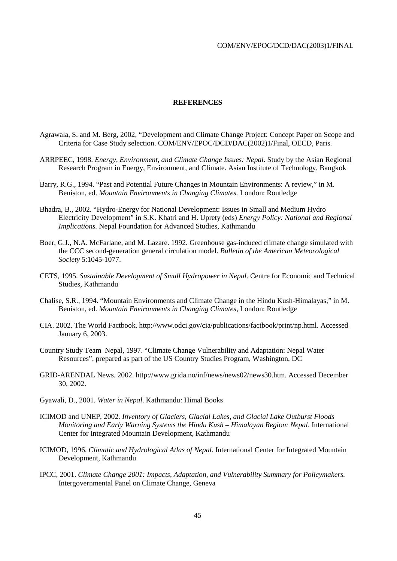### **REFERENCES**

- Agrawala, S. and M. Berg, 2002, "Development and Climate Change Project: Concept Paper on Scope and Criteria for Case Study selection. COM/ENV/EPOC/DCD/DAC(2002)1/Final, OECD, Paris.
- ARRPEEC, 1998. *Energy, Environment, and Climate Change Issues: Nepal*. Study by the Asian Regional Research Program in Energy, Environment, and Climate. Asian Institute of Technology, Bangkok
- Barry, R.G., 1994. "Past and Potential Future Changes in Mountain Environments: A review," in M. Beniston, ed. *Mountain Environments in Changing Climates.* London: Routledge
- Bhadra, B., 2002. "Hydro-Energy for National Development: Issues in Small and Medium Hydro Electricity Development" in S.K. Khatri and H. Uprety (eds) *Energy Policy: National and Regional Implications.* Nepal Foundation for Advanced Studies, Kathmandu
- Boer, G.J., N.A. McFarlane, and M. Lazare. 1992. Greenhouse gas-induced climate change simulated with the CCC second-generation general circulation model. *Bulletin of the American Meteorological Society* 5:1045-1077.
- CETS, 1995. *Sustainable Development of Small Hydropower in Nepal*. Centre for Economic and Technical Studies, Kathmandu
- Chalise, S.R., 1994. "Mountain Environments and Climate Change in the Hindu Kush-Himalayas," in M. Beniston, ed. *Mountain Environments in Changing Climates*, London: Routledge
- CIA. 2002. The World Factbook. http://www.odci.gov/cia/publications/factbook/print/np.html. Accessed January 6, 2003.
- Country Study Team–Nepal, 1997. "Climate Change Vulnerability and Adaptation: Nepal Water Resources", prepared as part of the US Country Studies Program, Washington, DC
- GRID-ARENDAL News. 2002. http://www.grida.no/inf/news/news02/news30.htm. Accessed December 30, 2002.
- Gyawali, D., 2001. *Water in Nepal*. Kathmandu: Himal Books
- ICIMOD and UNEP, 2002. *Inventory of Glaciers, Glacial Lakes, and Glacial Lake Outburst Floods Monitoring and Early Warning Systems the Hindu Kush – Himalayan Region: Nepal*. International Center for Integrated Mountain Development, Kathmandu
- ICIMOD, 1996. *Climatic and Hydrological Atlas of Nepal.* International Center for Integrated Mountain Development, Kathmandu
- IPCC, 2001. *Climate Change 2001: Impacts, Adaptation, and Vulnerability Summary for Policymakers.* Intergovernmental Panel on Climate Change, Geneva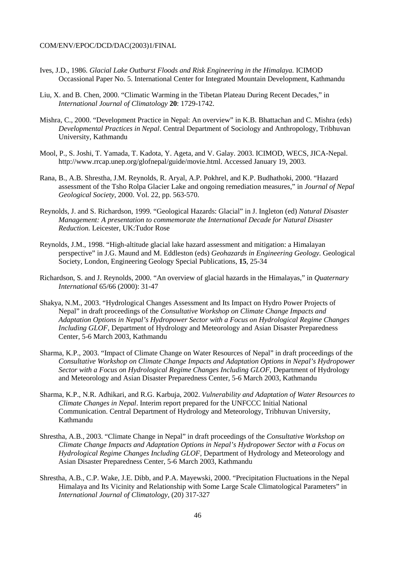- Ives, J.D., 1986. *Glacial Lake Outburst Floods and Risk Engineering in the Himalaya.* ICIMOD Occassional Paper No. 5. International Center for Integrated Mountain Development, Kathmandu
- Liu, X. and B. Chen, 2000. "Climatic Warming in the Tibetan Plateau During Recent Decades," in *International Journal of Climatology* **20**: 1729-1742.
- Mishra, C., 2000. "Development Practice in Nepal: An overview" in K.B. Bhattachan and C. Mishra (eds) *Developmental Practices in Nepal*. Central Department of Sociology and Anthropology, Tribhuvan University, Kathmandu
- Mool, P., S. Joshi, T. Yamada, T. Kadota, Y. Ageta, and V. Galay. 2003. ICIMOD, WECS, JICA-Nepal. http://www.rrcap.unep.org/glofnepal/guide/movie.html. Accessed January 19, 2003.
- Rana, B., A.B. Shrestha, J.M. Reynolds, R. Aryal, A.P. Pokhrel, and K.P. Budhathoki, 2000. "Hazard assessment of the Tsho Rolpa Glacier Lake and ongoing remediation measures," in *Journal of Nepal Geological Society*, 2000. Vol. 22, pp. 563-570.
- Reynolds, J. and S. Richardson, 1999. "Geological Hazards: Glacial" in J. Ingleton (ed) *Natural Disaster Management: A presentation to commemorate the International Decade for Natural Disaster Reduction.* Leicester, UK:Tudor Rose
- Reynolds, J.M., 1998. "High-altitude glacial lake hazard assessment and mitigation: a Himalayan perspective" in J.G. Maund and M. Eddleston (eds) *Geohazards in Engineering Geology.* Geological Society, London, Engineering Geology Special Publications, **15**, 25-34
- Richardson, S. and J. Reynolds, 2000. "An overview of glacial hazards in the Himalayas," in *Quaternary International* 65/66 (2000): 31-47
- Shakya, N.M., 2003. "Hydrological Changes Assessment and Its Impact on Hydro Power Projects of Nepal" in draft proceedings of the *Consultative Workshop on Climate Change Impacts and Adaptation Options in Nepal's Hydropower Sector with a Focus on Hydrological Regime Changes Including GLOF*, Department of Hydrology and Meteorology and Asian Disaster Preparedness Center, 5-6 March 2003, Kathmandu
- Sharma, K.P., 2003. "Impact of Climate Change on Water Resources of Nepal" in draft proceedings of the *Consultative Workshop on Climate Change Impacts and Adaptation Options in Nepal's Hydropower Sector with a Focus on Hydrological Regime Changes Including GLOF*, Department of Hydrology and Meteorology and Asian Disaster Preparedness Center, 5-6 March 2003, Kathmandu
- Sharma, K.P., N.R. Adhikari, and R.G. Karbuja, 2002. *Vulnerability and Adaptation of Water Resources to Climate Changes in Nepal*. Interim report prepared for the UNFCCC Initial National Communication. Central Department of Hydrology and Meteorology, Tribhuvan University, Kathmandu
- Shrestha, A.B., 2003. "Climate Change in Nepal" in draft proceedings of the *Consultative Workshop on Climate Change Impacts and Adaptation Options in Nepal's Hydropower Sector with a Focus on Hydrological Regime Changes Including GLOF*, Department of Hydrology and Meteorology and Asian Disaster Preparedness Center, 5-6 March 2003, Kathmandu
- Shrestha, A.B., C.P. Wake, J.E. Dibb, and P.A. Mayewski, 2000. "Precipitation Fluctuations in the Nepal Himalaya and Its Vicinity and Relationship with Some Large Scale Climatological Parameters" in *International Journal of Climatology,* (20) 317-327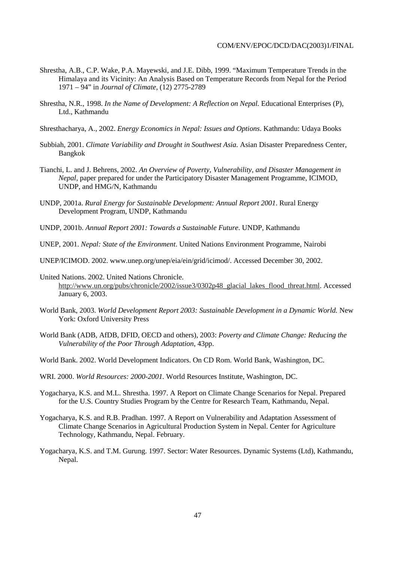- Shrestha, A.B., C.P. Wake, P.A. Mayewski, and J.E. Dibb, 1999. "Maximum Temperature Trends in the Himalaya and its Vicinity: An Analysis Based on Temperature Records from Nepal for the Period 1971 – 94" in *Journal of Climate,* (12) 2775-2789
- Shrestha, N.R., 1998. *In the Name of Development: A Reflection on Nepal.* Educational Enterprises (P), Ltd., Kathmandu
- Shresthacharya, A., 2002. *Energy Economics in Nepal: Issues and Options*. Kathmandu: Udaya Books
- Subbiah, 2001. *Climate Variability and Drought in Southwest Asia.* Asian Disaster Preparedness Center, Bangkok
- Tianchi, L. and J. Behrens, 2002. *An Overview of Poverty, Vulnerability, and Disaster Management in Nepal*, paper prepared for under the Participatory Disaster Management Programme, ICIMOD, UNDP, and HMG/N, Kathmandu
- UNDP, 2001a. *Rural Energy for Sustainable Development: Annual Report 2001*. Rural Energy Development Program, UNDP, Kathmandu
- UNDP, 2001b. *Annual Report 2001: Towards a Sustainable Future*. UNDP, Kathmandu
- UNEP, 2001. *Nepal: State of the Environment*. United Nations Environment Programme, Nairobi
- UNEP/ICIMOD. 2002. www.unep.org/unep/eia/ein/grid/icimod/. Accessed December 30, 2002.
- United Nations. 2002. United Nations Chronicle. http://www.un.org/pubs/chronicle/2002/issue3/0302p48\_glacial\_lakes\_flood\_threat.html. Accessed January 6, 2003.
- World Bank, 2003. *World Development Report 2003: Sustainable Development in a Dynamic World.* New York: Oxford University Press
- World Bank (ADB, AfDB, DFID, OECD and others), 2003: *Poverty and Climate Change: Reducing the Vulnerability of the Poor Through Adaptation*, 43pp.
- World Bank. 2002. World Development Indicators. On CD Rom. World Bank, Washington, DC.
- WRI. 2000. *World Resources: 2000-2001.* World Resources Institute, Washington, DC.
- Yogacharya, K.S. and M.L. Shrestha. 1997. A Report on Climate Change Scenarios for Nepal. Prepared for the U.S. Country Studies Program by the Centre for Research Team, Kathmandu, Nepal.
- Yogacharya, K.S. and R.B. Pradhan. 1997. A Report on Vulnerability and Adaptation Assessment of Climate Change Scenarios in Agricultural Production System in Nepal. Center for Agriculture Technology, Kathmandu, Nepal. February.
- Yogacharya, K.S. and T.M. Gurung. 1997. Sector: Water Resources. Dynamic Systems (Ltd), Kathmandu, Nepal.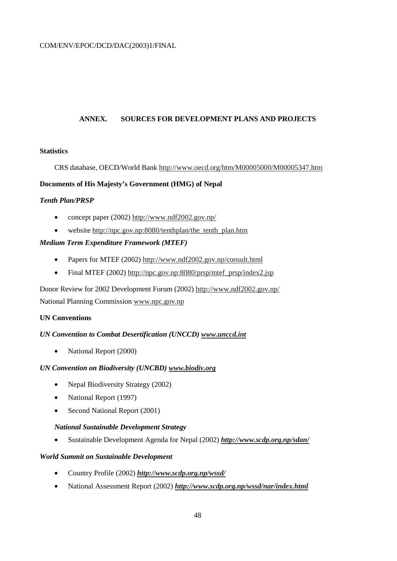# **ANNEX. SOURCES FOR DEVELOPMENT PLANS AND PROJECTS**

# **Statistics**

CRS database, OECD/World Bank http://www.oecd.org/htm/M00005000/M00005347.htm

# **Documents of His Majesty's Government (HMG) of Nepal**

# *Tenth Plan/PRSP*

- concept paper (2002) http://www.ndf2002.gov.np/
- website http://npc.gov.np:8080/tenthplan/the\_tenth\_plan.htm

# *Medium Term Expenditure Framework (MTEF)*

- Papers for MTEF (2002) http://www.ndf2002.gov.np/consult.html
- Final MTEF (2002) http://npc.gov.np:8080/prsp/mtef\_prsp/index2.jsp

Donor Review for 2002 Development Forum (2002) http://www.ndf2002.gov.np/ National Planning Commission www.npc.gov.np

# **UN Conventions**

# *UN Convention to Combat Desertification (UNCCD) www.unccd.int*

• National Report (2000)

# *UN Convention on Biodiversity (UNCBD) www.biodiv.org*

- Nepal Biodiversity Strategy (2002)
- National Report (1997)
- Second National Report (2001)

# *National Sustainable Development Strategy*

• Sustainable Development Agenda for Nepal (2002) *http://www.scdp.org.np/sdan/*

# *World Summit on Sustainable Development*

- Country Profile (2002) *http://www.scdp.org.np/wssd/*
- National Assessment Report (2002) *http://www.scdp.org.np/wssd/nar/index.html*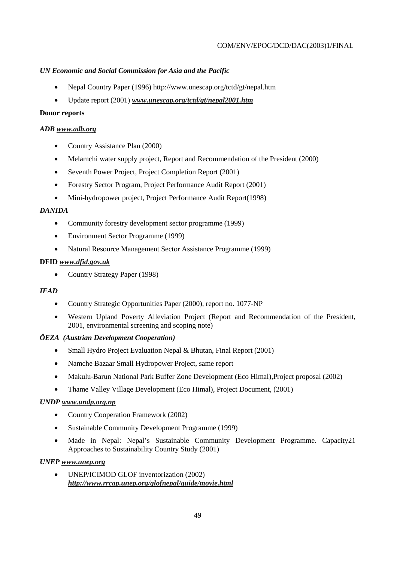# *UN Economic and Social Commission for Asia and the Pacific*

- Nepal Country Paper (1996) http://www.unescap.org/tctd/gt/nepal.htm
- Update report (2001) *www.unescap.org/tctd/gt/nepal2001.htm*

# **Donor reports**

# *ADB www.adb.org*

- Country Assistance Plan (2000)
- Melamchi water supply project, Report and Recommendation of the President (2000)
- Seventh Power Project, Project Completion Report (2001)
- Forestry Sector Program, Project Performance Audit Report (2001)
- Mini-hydropower project, Project Performance Audit Report(1998)

# *DANIDA*

- Community forestry development sector programme (1999)
- Environment Sector Programme (1999)
- Natural Resource Management Sector Assistance Programme (1999)

# **DFID** *www.dfid.gov.uk*

• Country Strategy Paper (1998)

# *IFAD*

- Country Strategic Opportunities Paper (2000), report no. 1077-NP
- Western Upland Poverty Alleviation Project (Report and Recommendation of the President, 2001, environmental screening and scoping note)

# *ÖEZA (Austrian Development Cooperation)*

- Small Hydro Project Evaluation Nepal & Bhutan, Final Report (2001)
- Namche Bazaar Small Hydropower Project, same report
- Makulu-Barun National Park Buffer Zone Development (Eco Himal), Project proposal (2002)
- Thame Valley Village Development (Eco Himal), Project Document, (2001)

# *UNDP www.undp.org.np*

- Country Cooperation Framework (2002)
- Sustainable Community Development Programme (1999)
- Made in Nepal: Nepal's Sustainable Community Development Programme. Capacity21 Approaches to Sustainability Country Study (2001)

# *UNEP www.unep.org*

• UNEP/ICIMOD GLOF inventorization (2002) *http://www.rrcap.unep.org/glofnepal/guide/movie.html*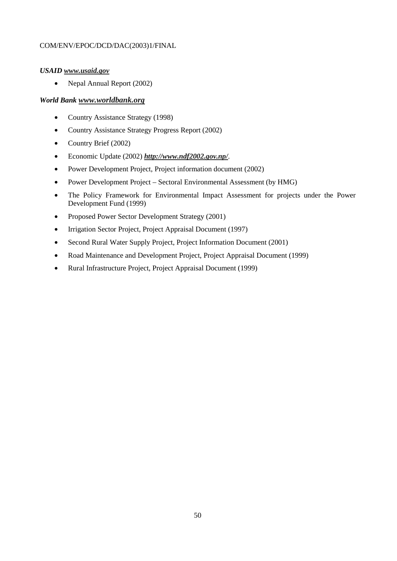# *USAID www.usaid.gov*

• Nepal Annual Report (2002)

# *World Bank www.worldbank.org*

- Country Assistance Strategy (1998)
- Country Assistance Strategy Progress Report (2002)
- Country Brief (2002)
- Economic Update (2002) *http://www.ndf2002.gov.np/*.
- Power Development Project, Project information document (2002)
- Power Development Project Sectoral Environmental Assessment (by HMG)
- The Policy Framework for Environmental Impact Assessment for projects under the Power Development Fund (1999)
- Proposed Power Sector Development Strategy (2001)
- Irrigation Sector Project, Project Appraisal Document (1997)
- Second Rural Water Supply Project, Project Information Document (2001)
- Road Maintenance and Development Project, Project Appraisal Document (1999)
- Rural Infrastructure Project, Project Appraisal Document (1999)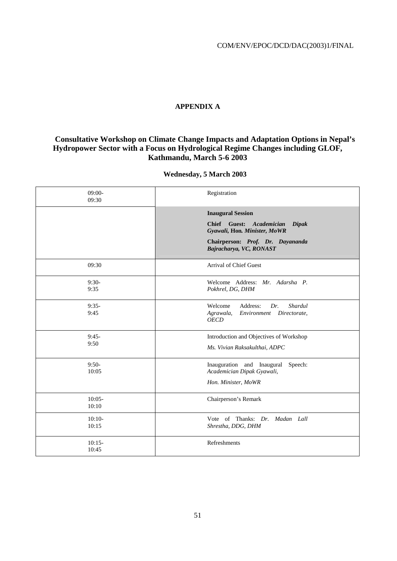# **APPENDIX A**

# **Consultative Workshop on Climate Change Impacts and Adaptation Options in Nepal's Hydropower Sector with a Focus on Hydrological Regime Changes including GLOF, Kathmandu, March 5-6 2003**

**Wednesday, 5 March 2003** 

| $09:00-$<br>09:30 | Registration                                                                                                                                                              |  |
|-------------------|---------------------------------------------------------------------------------------------------------------------------------------------------------------------------|--|
|                   | <b>Inaugural Session</b><br>Guest:<br><b>Chief</b><br>Academician<br>Dipak<br>Gyawali, Hon. Minister, MoWR<br>Chairperson: Prof. Dr. Dayananda<br>Bajracharya, VC, RONAST |  |
| 09:30             | <b>Arrival of Chief Guest</b>                                                                                                                                             |  |
| $9:30-$<br>9:35   | Welcome Address: Mr. Adarsha P.<br>Pokhrel, DG, DHM                                                                                                                       |  |
| $9:35-$<br>9:45   | Shardul<br>Welcome<br>Address:<br>Dr.<br>Agrawala,<br>Environment Directorate,<br><b>OECD</b>                                                                             |  |
| $9:45-$<br>9:50   | Introduction and Objectives of Workshop<br>Ms. Vivian Raksakulthai, ADPC                                                                                                  |  |
| $9:50-$<br>10:05  | Inauguration and Inaugural<br>Speech:<br>Academician Dipak Gyawali,<br>Hon. Minister, MoWR                                                                                |  |
| $10:05-$<br>10:10 | Chairperson's Remark                                                                                                                                                      |  |
| $10:10-$<br>10:15 | Vote of Thanks: Dr. Madan Lall<br>Shrestha, DDG, DHM                                                                                                                      |  |
| $10:15-$<br>10:45 | Refreshments                                                                                                                                                              |  |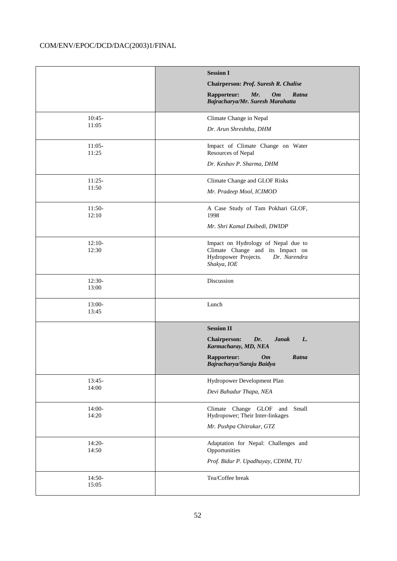|                   | <b>Session I</b><br>Chairperson: Prof. Suresh R. Chalise<br>Rapporteur:<br>Mr.<br><b>Om</b><br>Ratna                           |
|-------------------|--------------------------------------------------------------------------------------------------------------------------------|
|                   | Bajracharya/Mr. Suresh Marahatta                                                                                               |
| $10:45-$<br>11:05 | Climate Change in Nepal                                                                                                        |
|                   | Dr. Arun Shreshtha, DHM                                                                                                        |
| $11:05-$<br>11:25 | Impact of Climate Change on Water<br>Resources of Nepal                                                                        |
|                   | Dr. Keshav P. Sharma, DHM                                                                                                      |
| $11:25-$<br>11:50 | Climate Change and GLOF Risks                                                                                                  |
|                   | Mr. Pradeep Mool, ICIMOD                                                                                                       |
| $11:50-$<br>12:10 | A Case Study of Tam Pokhari GLOF,<br>1998                                                                                      |
|                   | Mr. Shri Kamal Duibedi, DWIDP                                                                                                  |
| $12:10-$<br>12:30 | Impact on Hydrology of Nepal due to<br>Climate Change and its Impact on<br>Hydropower Projects.<br>Dr. Narendra<br>Shakya, IOE |
| 12:30-<br>13:00   | Discussion                                                                                                                     |
| 13:00-<br>13:45   | Lunch                                                                                                                          |
|                   | <b>Session II</b>                                                                                                              |
|                   | <b>Chairperson:</b><br>Dr.<br><b>Janak</b><br>L.<br>Karmacharay, MD, NEA                                                       |
|                   | Rapporteur:<br><b>Om</b><br>Ratna<br>Bajracharya/Saraju Baidya                                                                 |
| 13:45-<br>14:00   | Hydropower Development Plan                                                                                                    |
|                   | Devi Bahadur Thapa, NEA                                                                                                        |
| 14:00-<br>14:20   | Climate Change GLOF<br>Small<br>and<br>Hydropower; Their Inter-linkages                                                        |
|                   | Mr. Pushpa Chitrakar, GTZ                                                                                                      |
| $14:20-$<br>14:50 | Adaptation for Nepal: Challenges and<br>Opportunities                                                                          |
|                   | Prof. Bidur P. Upadhayay, CDHM, TU                                                                                             |
| 14:50-<br>15:05   | Tea/Coffee break                                                                                                               |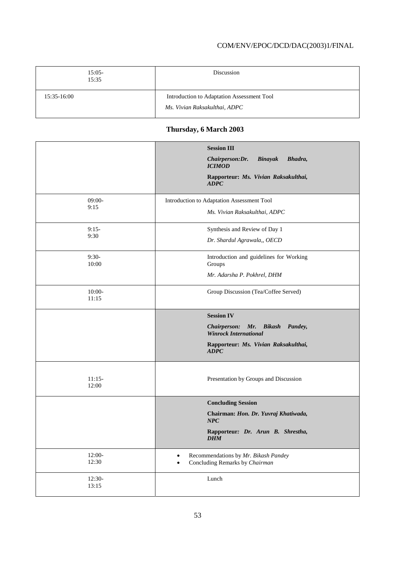| $15:05-$<br>15:35 | Discussion                                                                  |
|-------------------|-----------------------------------------------------------------------------|
| 15:35-16:00       | Introduction to Adaptation Assessment Tool<br>Ms. Vivian Raksakulthai, ADPC |

# **Thursday, 6 March 2003**

|                   | <b>Session III</b><br><b>Binayak</b><br>Chairperson:Dr.<br>Bhadra,<br><b>ICIMOD</b><br>Rapporteur: Ms. Vivian Raksakulthai,<br><b>ADPC</b>  |  |
|-------------------|---------------------------------------------------------------------------------------------------------------------------------------------|--|
| $09:00-$<br>9:15  | Introduction to Adaptation Assessment Tool<br>Ms. Vivian Raksakulthai, ADPC                                                                 |  |
| $9:15-$<br>9:30   | Synthesis and Review of Day 1<br>Dr. Shardul Agrawala,, OECD                                                                                |  |
| $9:30-$<br>10:00  | Introduction and guidelines for Working<br>Groups<br>Mr. Adarsha P. Pokhrel, DHM                                                            |  |
| $10:00-$<br>11:15 | Group Discussion (Tea/Coffee Served)                                                                                                        |  |
|                   | <b>Session IV</b><br>Chairperson: Mr. Bikash Pandey,<br><b>Winrock International</b><br>Rapporteur: Ms. Vivian Raksakulthai,<br><b>ADPC</b> |  |
| $11:15-$<br>12:00 | Presentation by Groups and Discussion                                                                                                       |  |
|                   | <b>Concluding Session</b><br>Chairman: Hon. Dr. Yuvraj Khatiwada,<br>NPC<br>Rapporteur: Dr. Arun B. Shrestha,<br><b>DHM</b>                 |  |
| 12:00-<br>12:30   | Recommendations by Mr. Bikash Pandey<br>$\bullet$<br>Concluding Remarks by Chairman<br>$\bullet$                                            |  |
| $12:30-$<br>13:15 | Lunch                                                                                                                                       |  |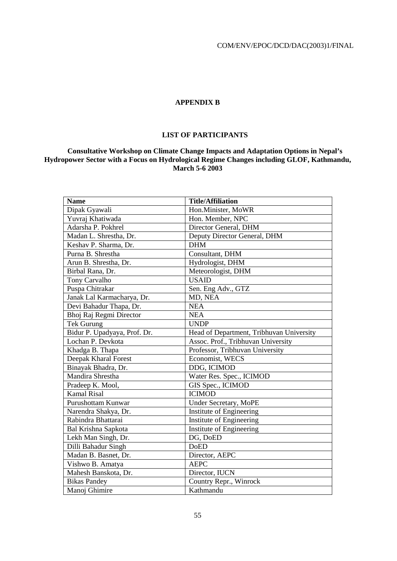# **APPENDIX B**

# **LIST OF PARTICIPANTS**

# **Consultative Workshop on Climate Change Impacts and Adaptation Options in Nepal's Hydropower Sector with a Focus on Hydrological Regime Changes including GLOF, Kathmandu, March 5-6 2003**

| <b>Name</b>                  | <b>Title/Affiliation</b>                 |
|------------------------------|------------------------------------------|
| Dipak Gyawali                | Hon.Minister, MoWR                       |
| Yuvraj Khatiwada             | Hon. Member, NPC                         |
| Adarsha P. Pokhrel           | Director General, DHM                    |
| Madan L. Shrestha, Dr.       | Deputy Director General, DHM             |
| Keshav P. Sharma, Dr.        | <b>DHM</b>                               |
| Purna B. Shrestha            | Consultant, DHM                          |
| Arun B. Shrestha, Dr.        | Hydrologist, DHM                         |
| Birbal Rana, Dr.             | Meteorologist, DHM                       |
| Tony Carvalho                | <b>USAID</b>                             |
| Puspa Chitrakar              | Sen. Eng Adv., GTZ                       |
| Janak Lal Karmacharya, Dr.   | MD, NEA                                  |
| Devi Bahadur Thapa, Dr.      | <b>NEA</b>                               |
| Bhoj Raj Regmi Director      | <b>NEA</b>                               |
| Tek Gurung                   | <b>UNDP</b>                              |
| Bidur P. Upadyaya, Prof. Dr. | Head of Department, Tribhuvan University |
| Lochan P. Devkota            | Assoc. Prof., Tribhuvan University       |
| Khadga B. Thapa              | Professor, Tribhuvan University          |
| Deepak Kharal Forest         | Economist, WECS                          |
| Binayak Bhadra, Dr.          | DDG, ICIMOD                              |
| Mandira Shrestha             | Water Res. Spec., ICIMOD                 |
| Pradeep K. Mool,             | GIS Spec., ICIMOD                        |
| <b>Kamal Risal</b>           | <b>ICIMOD</b>                            |
| Purushottam Kunwar           | Under Secretary, MoPE                    |
| Narendra Shakya, Dr.         | Institute of Engineering                 |
| Rabindra Bhattarai           | Institute of Engineering                 |
| Bal Krishna Sapkota          | Institute of Engineering                 |
| Lekh Man Singh, Dr.          | DG, DoED                                 |
| Dilli Bahadur Singh          | <b>DoED</b>                              |
| Madan B. Basnet, Dr.         | Director, AEPC                           |
| Vishwo B. Amatya             | <b>AEPC</b>                              |
| Mahesh Banskota, Dr.         | Director, IUCN                           |
| <b>Bikas Pandey</b>          | Country Repr., Winrock                   |
| Manoj Ghimire                | Kathmandu                                |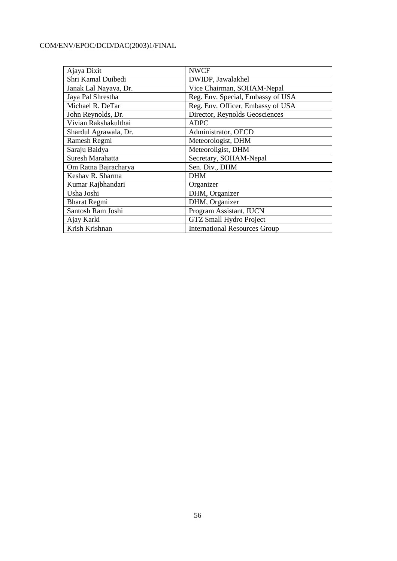| Ajaya Dixit           | <b>NWCF</b>                          |  |
|-----------------------|--------------------------------------|--|
| Shri Kamal Duibedi    | DWIDP, Jawalakhel                    |  |
| Janak Lal Nayava, Dr. | Vice Chairman, SOHAM-Nepal           |  |
| Jaya Pal Shrestha     | Reg. Env. Special, Embassy of USA    |  |
| Michael R. DeTar      | Reg. Env. Officer, Embassy of USA    |  |
| John Reynolds, Dr.    | Director, Reynolds Geosciences       |  |
| Vivian Rakshakulthai  | <b>ADPC</b>                          |  |
| Shardul Agrawala, Dr. | Administrator, OECD                  |  |
| Ramesh Regmi          | Meteorologist, DHM                   |  |
| Saraju Baidya         | Meteoroligist, DHM                   |  |
| Suresh Marahatta      | Secretary, SOHAM-Nepal               |  |
| Om Ratna Bajracharya  | Sen. Div., DHM                       |  |
| Keshav R. Sharma      | <b>DHM</b>                           |  |
| Kumar Rajbhandari     | Organizer                            |  |
| Usha Joshi            | DHM, Organizer                       |  |
| <b>Bharat Regmi</b>   | DHM, Organizer                       |  |
| Santosh Ram Joshi     | Program Assistant, IUCN              |  |
| Ajay Karki            | <b>GTZ Small Hydro Project</b>       |  |
| Krish Krishnan        | <b>International Resources Group</b> |  |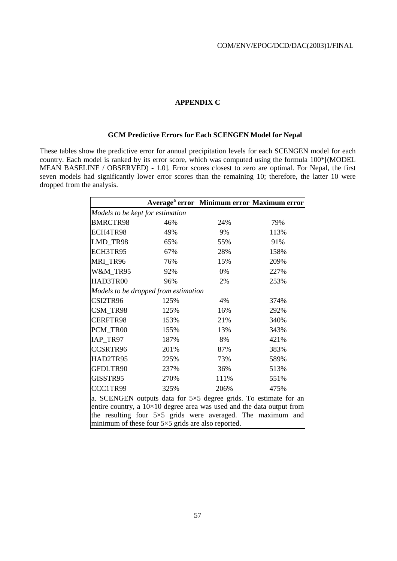# **APPENDIX C**

# **GCM Predictive Errors for Each SCENGEN Model for Nepal**

These tables show the predictive error for annual precipitation levels for each SCENGEN model for each country. Each model is ranked by its error score, which was computed using the formula 100\*[(MODEL MEAN BASELINE / OBSERVED) - 1.0]. Error scores closest to zero are optimal. For Nepal, the first seven models had significantly lower error scores than the remaining 10; therefore, the latter 10 were dropped from the analysis.

|                                                                              |                                                                     |      | Average <sup>a</sup> error Minimum error Maximum error |  |
|------------------------------------------------------------------------------|---------------------------------------------------------------------|------|--------------------------------------------------------|--|
| Models to be kept for estimation                                             |                                                                     |      |                                                        |  |
| <b>BMRCTR98</b>                                                              | 46%                                                                 | 24%  | 79%                                                    |  |
| ECH4TR98                                                                     | 49%                                                                 | 9%   | 113%                                                   |  |
| LMD_TR98                                                                     | 65%                                                                 | 55%  | 91%                                                    |  |
| ECH3TR95                                                                     | 67%                                                                 | 28%  | 158%                                                   |  |
| MRI_TR96                                                                     | 76%                                                                 | 15%  | 209%                                                   |  |
| W&M_TR95                                                                     | 92%                                                                 | 0%   | 227%                                                   |  |
| HAD3TR00                                                                     | 96%                                                                 | 2%   | 253%                                                   |  |
|                                                                              | Models to be dropped from estimation                                |      |                                                        |  |
| CSI2TR96                                                                     | 125%                                                                | 4%   | 374%                                                   |  |
| CSM_TR98                                                                     | 125%                                                                | 16%  | 292%                                                   |  |
| <b>CERFTR98</b>                                                              | 153%                                                                | 21%  | 340%                                                   |  |
| PCM_TR00                                                                     | 155%                                                                | 13%  | 343%                                                   |  |
| IAP_TR97                                                                     | 187%                                                                | 8%   | 421%                                                   |  |
| CCSRTR96                                                                     | 201%                                                                | 87%  | 383%                                                   |  |
| HAD2TR95                                                                     | 225%                                                                | 73%  | 589%                                                   |  |
| GFDLTR90                                                                     | 237%                                                                | 36%  | 513%                                                   |  |
| GISSTR95                                                                     | 270%                                                                | 111% | 551%                                                   |  |
| CCC1TR99                                                                     | 325%                                                                | 206% | 475%                                                   |  |
| a. SCENGEN outputs data for $5\times5$ degree grids. To estimate for an      |                                                                     |      |                                                        |  |
| entire country, a $10\times10$ degree area was used and the data output from |                                                                     |      |                                                        |  |
|                                                                              | the resulting four $5\times 5$ grids were averaged. The maximum and |      |                                                        |  |
| minimum of these four $5 \times 5$ grids are also reported.                  |                                                                     |      |                                                        |  |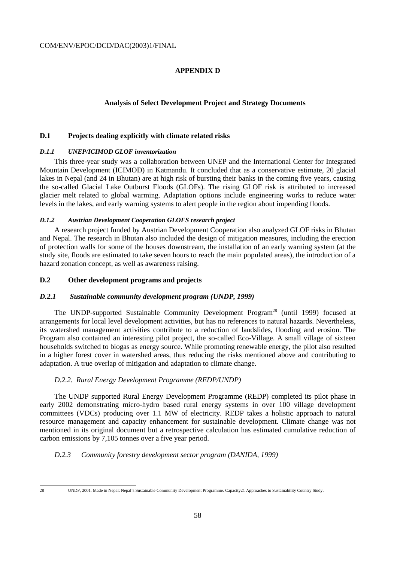# **APPENDIX D**

# **Analysis of Select Development Project and Strategy Documents**

# **D.1 Projects dealing explicitly with climate related risks**

# *D.1.1 UNEP/ICIMOD GLOF inventorization*

This three-year study was a collaboration between UNEP and the International Center for Integrated Mountain Development (ICIMOD) in Katmandu. It concluded that as a conservative estimate, 20 glacial lakes in Nepal (and 24 in Bhutan) are at high risk of bursting their banks in the coming five years, causing the so-called Glacial Lake Outburst Floods (GLOFs). The rising GLOF risk is attributed to increased glacier melt related to global warming. Adaptation options include engineering works to reduce water levels in the lakes, and early warning systems to alert people in the region about impending floods.

# *D.1.2 Austrian Development Cooperation GLOFS research project*

A research project funded by Austrian Development Cooperation also analyzed GLOF risks in Bhutan and Nepal. The research in Bhutan also included the design of mitigation measures, including the erection of protection walls for some of the houses downstream, the installation of an early warning system (at the study site, floods are estimated to take seven hours to reach the main populated areas), the introduction of a hazard zonation concept, as well as awareness raising.

### **D.2 Other development programs and projects**

# *D.2.1 Sustainable community development program (UNDP, 1999)*

The UNDP-supported Sustainable Community Development Program<sup>28</sup> (until 1999) focused at arrangements for local level development activities, but has no references to natural hazards. Nevertheless, its watershed management activities contribute to a reduction of landslides, flooding and erosion. The Program also contained an interesting pilot project, the so-called Eco-Village. A small village of sixteen households switched to biogas as energy source. While promoting renewable energy, the pilot also resulted in a higher forest cover in watershed areas, thus reducing the risks mentioned above and contributing to adaptation. A true overlap of mitigation and adaptation to climate change.

# *D.2.2. Rural Energy Development Programme (REDP/UNDP)*

The UNDP supported Rural Energy Development Programme (REDP) completed its pilot phase in early 2002 demonstrating micro-hydro based rural energy systems in over 100 village development committees (VDCs) producing over 1.1 MW of electricity. REDP takes a holistic approach to natural resource management and capacity enhancement for sustainable development. Climate change was not mentioned in its original document but a retrospective calculation has estimated cumulative reduction of carbon emissions by 7,105 tonnes over a five year period.

# *D.2.3 Community forestry development sector program (DANIDA, 1999)*

 $28$ 

<sup>28</sup> UNDP, 2001. Made in Nepal: Nepal's Sustainable Community Development Programme. Capacity21 Approaches to Sustainability Country Study.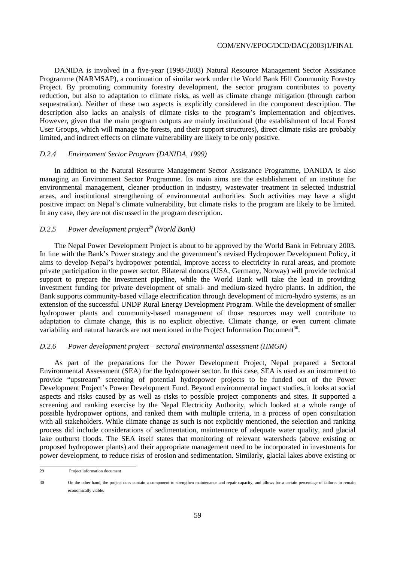DANIDA is involved in a five-year (1998-2003) Natural Resource Management Sector Assistance Programme (NARMSAP), a continuation of similar work under the World Bank Hill Community Forestry Project. By promoting community forestry development, the sector program contributes to poverty reduction, but also to adaptation to climate risks, as well as climate change mitigation (through carbon sequestration). Neither of these two aspects is explicitly considered in the component description. The description also lacks an analysis of climate risks to the program's implementation and objectives. However, given that the main program outputs are mainly institutional (the establishment of local Forest User Groups, which will manage the forests, and their support structures), direct climate risks are probably limited, and indirect effects on climate vulnerability are likely to be only positive.

# *D.2.4 Environment Sector Program (DANIDA, 1999)*

In addition to the Natural Resource Management Sector Assistance Programme, DANIDA is also managing an Environment Sector Programme. Its main aims are the establishment of an institute for environmental management, cleaner production in industry, wastewater treatment in selected industrial areas, and institutional strengthening of environmental authorities. Such activities may have a slight positive impact on Nepal's climate vulnerability, but climate risks to the program are likely to be limited. In any case, they are not discussed in the program description.

# *D.2.5 Power development project*<sup>29</sup> (World Bank)

The Nepal Power Development Project is about to be approved by the World Bank in February 2003. In line with the Bank's Power strategy and the government's revised Hydropower Development Policy, it aims to develop Nepal's hydropower potential, improve access to electricity in rural areas, and promote private participation in the power sector. Bilateral donors (USA, Germany, Norway) will provide technical support to prepare the investment pipeline, while the World Bank will take the lead in providing investment funding for private development of small- and medium-sized hydro plants. In addition, the Bank supports community-based village electrification through development of micro-hydro systems, as an extension of the successful UNDP Rural Energy Development Program. While the development of smaller hydropower plants and community-based management of those resources may well contribute to adaptation to climate change, this is no explicit objective. Climate change, or even current climate variability and natural hazards are not mentioned in the Project Information Document<sup>30</sup>.

# *D.2.6 Power development project – sectoral environmental assessment (HMGN)*

As part of the preparations for the Power Development Project, Nepal prepared a Sectoral Environmental Assessment (SEA) for the hydropower sector. In this case, SEA is used as an instrument to provide "upstream" screening of potential hydropower projects to be funded out of the Power Development Project's Power Development Fund. Beyond environmental impact studies, it looks at social aspects and risks caused by as well as risks to possible project components and sites. It supported a screening and ranking exercise by the Nepal Electricity Authority, which looked at a whole range of possible hydropower options, and ranked them with multiple criteria, in a process of open consultation with all stakeholders. While climate change as such is not explicitly mentioned, the selection and ranking process did include considerations of sedimentation, maintenance of adequate water quality, and glacial lake outburst floods. The SEA itself states that monitoring of relevant watersheds (above existing or proposed hydropower plants) and their appropriate management need to be incorporated in investments for power development, to reduce risks of erosion and sedimentation. Similarly, glacial lakes above existing or

<sup>29</sup> Project information document

<sup>30</sup> On the other hand, the project does contain a component to strengthen maintenance and repair capacity, and allows for a certain percentage of failures to remain economically viable.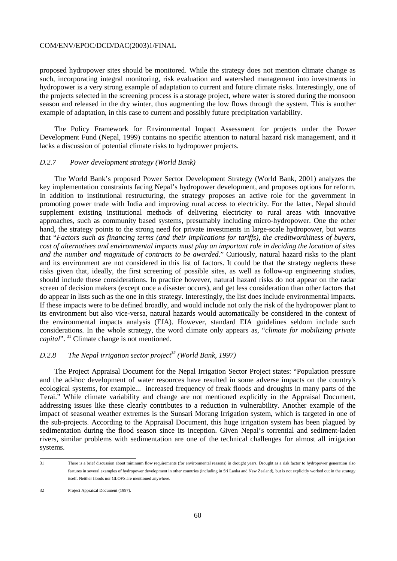proposed hydropower sites should be monitored. While the strategy does not mention climate change as such, incorporating integral monitoring, risk evaluation and watershed management into investments in hydropower is a very strong example of adaptation to current and future climate risks. Interestingly, one of the projects selected in the screening process is a storage project, where water is stored during the monsoon season and released in the dry winter, thus augmenting the low flows through the system. This is another example of adaptation, in this case to current and possibly future precipitation variability.

The Policy Framework for Environmental Impact Assessment for projects under the Power Development Fund (Nepal, 1999) contains no specific attention to natural hazard risk management, and it lacks a discussion of potential climate risks to hydropower projects.

### *D.2.7 Power development strategy (World Bank)*

The World Bank's proposed Power Sector Development Strategy (World Bank, 2001) analyzes the key implementation constraints facing Nepal's hydropower development, and proposes options for reform. In addition to institutional restructuring, the strategy proposes an active role for the government in promoting power trade with India and improving rural access to electricity. For the latter, Nepal should supplement existing institutional methods of delivering electricity to rural areas with innovative approaches, such as community based systems, presumably including micro-hydropower. One the other hand, the strategy points to the strong need for private investments in large-scale hydropower, but warns that "*Factors such as financing terms (and their implications for tariffs), the creditworthiness of buyers, cost of alternatives and environmental impacts must play an important role in deciding the location of sites and the number and magnitude of contracts to be awarded*." Curiously, natural hazard risks to the plant and its environment are not considered in this list of factors. It could be that the strategy neglects these risks given that, ideally, the first screening of possible sites, as well as follow-up engineering studies, should include these considerations. In practice however, natural hazard risks do not appear on the radar screen of decision makers (except once a disaster occurs), and get less consideration than other factors that do appear in lists such as the one in this strategy. Interestingly, the list does include environmental impacts. If these impacts were to be defined broadly, and would include not only the risk of the hydropower plant to its environment but also vice-versa, natural hazards would automatically be considered in the context of the environmental impacts analysis (EIA). However, standard EIA guidelines seldom include such considerations. In the whole strategy, the word climate only appears as, "*climate for mobilizing private capital*". 31 Climate change is not mentioned.

# *D.2.8 The Nepal irrigation sector project<sup>32</sup> (World Bank, 1997)*

The Project Appraisal Document for the Nepal Irrigation Sector Project states: "Population pressure and the ad-hoc development of water resources have resulted in some adverse impacts on the country's ecological systems, for example... increased frequency of freak floods and droughts in many parts of the Terai." While climate variability and change are not mentioned explicitly in the Appraisal Document, addressing issues like these clearly contributes to a reduction in vulnerability. Another example of the impact of seasonal weather extremes is the Sunsari Morang Irrigation system, which is targeted in one of the sub-projects. According to the Appraisal Document, this huge irrigation system has been plagued by sedimentation during the flood season since its inception. Given Nepal's torrential and sediment-laden rivers, similar problems with sedimentation are one of the technical challenges for almost all irrigation systems.

 $31$ There is a brief discussion about minimum flow requirements (for environmental reasons) in drought years. Drought as a risk factor to hydropower generation also features in several examples of hydropower development in other countries (including in Sri Lanka and New Zealand), but is not explicitly worked out in the strategy itself. Neither floods nor GLOFS are mentioned anywhere.

<sup>32</sup> Project Appraisal Document (1997).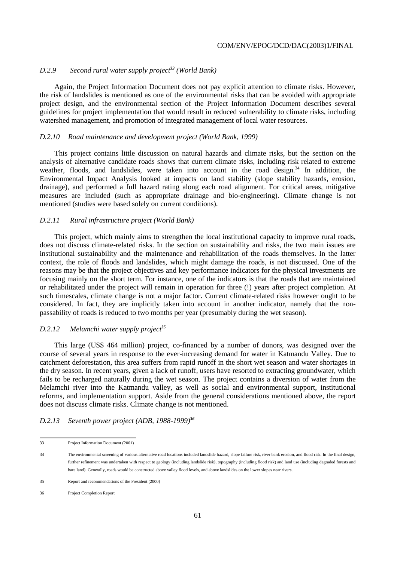# *D.2.9 Second rural water supply project<sup>33</sup> (World Bank)*

Again, the Project Information Document does not pay explicit attention to climate risks. However, the risk of landslides is mentioned as one of the environmental risks that can be avoided with appropriate project design, and the environmental section of the Project Information Document describes several guidelines for project implementation that would result in reduced vulnerability to climate risks, including watershed management, and promotion of integrated management of local water resources.

### *D.2.10 Road maintenance and development project (World Bank, 1999)*

This project contains little discussion on natural hazards and climate risks, but the section on the analysis of alternative candidate roads shows that current climate risks, including risk related to extreme weather, floods, and landslides, were taken into account in the road design.<sup>34</sup> In addition, the Environmental Impact Analysis looked at impacts on land stability (slope stability hazards, erosion, drainage), and performed a full hazard rating along each road alignment. For critical areas, mitigative measures are included (such as appropriate drainage and bio-engineering). Climate change is not mentioned (studies were based solely on current conditions).

### *D.2.11 Rural infrastructure project (World Bank)*

This project, which mainly aims to strengthen the local institutional capacity to improve rural roads, does not discuss climate-related risks. In the section on sustainability and risks, the two main issues are institutional sustainability and the maintenance and rehabilitation of the roads themselves. In the latter context, the role of floods and landslides, which might damage the roads, is not discussed. One of the reasons may be that the project objectives and key performance indicators for the physical investments are focusing mainly on the short term. For instance, one of the indicators is that the roads that are maintained or rehabilitated under the project will remain in operation for three (!) years after project completion. At such timescales, climate change is not a major factor. Current climate-related risks however ought to be considered. In fact, they are implicitly taken into account in another indicator, namely that the nonpassability of roads is reduced to two months per year (presumably during the wet season).

# *D.2.12 Melamchi water supply project<sup>35</sup>*

This large (US\$ 464 million) project, co-financed by a number of donors, was designed over the course of several years in response to the ever-increasing demand for water in Katmandu Valley. Due to catchment deforestation, this area suffers from rapid runoff in the short wet season and water shortages in the dry season. In recent years, given a lack of runoff, users have resorted to extracting groundwater, which fails to be recharged naturally during the wet season. The project contains a diversion of water from the Melamchi river into the Katmandu valley, as well as social and environmental support, institutional reforms, and implementation support. Aside from the general considerations mentioned above, the report does not discuss climate risks. Climate change is not mentioned.

# *D.2.13 Seventh power project (ADB, 1988-1999)<sup>36</sup>*

<sup>33</sup> Project Information Document (2001)

<sup>34</sup> The environmental screening of various alternative road locations included landslide hazard, slope failure risk, river bank erosion, and flood risk. In the final design, further refinement was undertaken with respect to geology (including landslide risk), topography (including flood risk) and land use (including degraded forests and bare land). Generally, roads would be constructed above valley flood levels, and above landslides on the lower slopes near rivers.

<sup>35</sup> Report and recommendations of the President (2000)

<sup>36</sup> Project Completion Report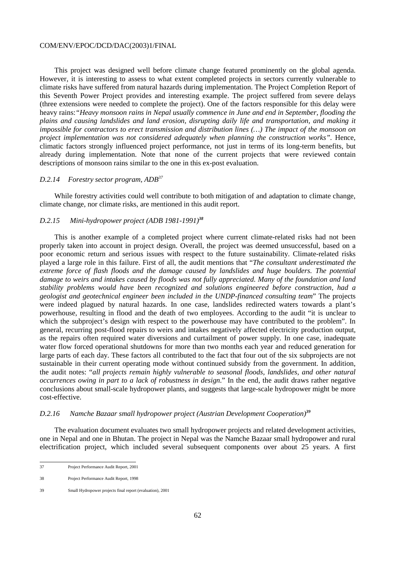This project was designed well before climate change featured prominently on the global agenda. However, it is interesting to assess to what extent completed projects in sectors currently vulnerable to climate risks have suffered from natural hazards during implementation. The Project Completion Report of this Seventh Power Project provides and interesting example. The project suffered from severe delays (three extensions were needed to complete the project). One of the factors responsible for this delay were heavy rains:*"Heavy monsoon rains in Nepal usually commence in June and end in September, flooding the plains and causing landslides and land erosion, disrupting daily life and transportation, and making it impossible for contractors to erect transmission and distribution lines (…) The impact of the monsoon on project implementation was not considered adequately when planning the construction works".* Hence, climatic factors strongly influenced project performance, not just in terms of its long-term benefits, but already during implementation. Note that none of the current projects that were reviewed contain descriptions of monsoon rains similar to the one in this ex-post evaluation.

# *D.2.14 Forestry sector program, ADB37*

While forestry activities could well contribute to both mitigation of and adaptation to climate change, climate change, nor climate risks, are mentioned in this audit report.

### *D.2.15 Mini-hydropower project (ADB 1981-1991)<sup>38</sup>*

This is another example of a completed project where current climate-related risks had not been properly taken into account in project design. Overall, the project was deemed unsuccessful, based on a poor economic return and serious issues with respect to the future sustainability. Climate-related risks played a large role in this failure. First of all, the audit mentions that "*The consultant underestimated the*  extreme force of flash floods and the damage caused by landslides and huge boulders. The potential *damage to weirs and intakes caused by floods was not fully appreciated. Many of the foundation and land stability problems would have been recognized and solutions engineered before construction, had a geologist and geotechnical engineer been included in the UNDP-financed consulting team*" The projects were indeed plagued by natural hazards. In one case, landslides redirected waters towards a plant's powerhouse, resulting in flood and the death of two employees. According to the audit "it is unclear to which the subproject's design with respect to the powerhouse may have contributed to the problem". In general, recurring post-flood repairs to weirs and intakes negatively affected electricity production output, as the repairs often required water diversions and curtailment of power supply. In one case, inadequate water flow forced operational shutdowns for more than two months each year and reduced generation for large parts of each day. These factors all contributed to the fact that four out of the six subprojects are not sustainable in their current operating mode without continued subsidy from the government. In addition, the audit notes: "*all projects remain highly vulnerable to seasonal floods, landslides, and other natural occurrences owing in part to a lack of robustness in design*." In the end, the audit draws rather negative conclusions about small-scale hydropower plants, and suggests that large-scale hydropower might be more cost-effective.

# *D.2.16 Namche Bazaar small hydropower project (Austrian Development Cooperation)<sup>39</sup>*

The evaluation document evaluates two small hydropower projects and related development activities, one in Nepal and one in Bhutan. The project in Nepal was the Namche Bazaar small hydropower and rural electrification project, which included several subsequent components over about 25 years. A first

<sup>37</sup> 37 Project Performance Audit Report, 2001

<sup>38</sup> Project Performance Audit Report, 1998

<sup>39</sup> Small Hydropower projects final report (evaluation), 2001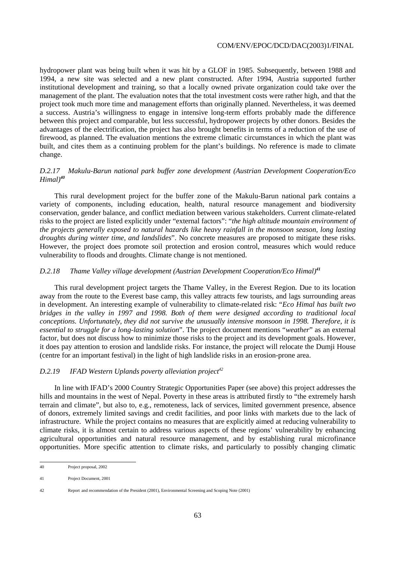hydropower plant was being built when it was hit by a GLOF in 1985. Subsequently, between 1988 and 1994, a new site was selected and a new plant constructed. After 1994, Austria supported further institutional development and training, so that a locally owned private organization could take over the management of the plant. The evaluation notes that the total investment costs were rather high, and that the project took much more time and management efforts than originally planned. Nevertheless, it was deemed a success. Austria's willingness to engage in intensive long-term efforts probably made the difference between this project and comparable, but less successful, hydropower projects by other donors. Besides the advantages of the electrification, the project has also brought benefits in terms of a reduction of the use of firewood, as planned. The evaluation mentions the extreme climatic circumstances in which the plant was built, and cites them as a continuing problem for the plant's buildings. No reference is made to climate change.

# *D.2.17 Makulu-Barun national park buffer zone development (Austrian Development Cooperation/Eco Himal)<sup>40</sup>*

This rural development project for the buffer zone of the Makulu-Barun national park contains a variety of components, including education, health, natural resource management and biodiversity conservation, gender balance, and conflict mediation between various stakeholders. Current climate-related risks to the project are listed explicitly under "external factors": "*the high altitude mountain environment of the projects generally exposed to natural hazards like heavy rainfall in the monsoon season, long lasting droughts during winter time, and landslides*". No concrete measures are proposed to mitigate these risks. However, the project does promote soil protection and erosion control, measures which would reduce vulnerability to floods and droughts. Climate change is not mentioned.

# *D.2.18 Thame Valley village development (Austrian Development Cooperation/Eco Himal)<sup>41</sup>*

This rural development project targets the Thame Valley, in the Everest Region. Due to its location away from the route to the Everest base camp, this valley attracts few tourists, and lags surrounding areas in development. An interesting example of vulnerability to climate-related risk: "*Eco Himal has built two bridges in the valley in 1997 and 1998. Both of them were designed according to traditional local conceptions. Unfortunately, they did not survive the unusually intensive monsoon in 1998. Therefore, it is essential to struggle for a long-lasting solution*". The project document mentions "*weather*" as an external factor, but does not discuss how to minimize those risks to the project and its development goals. However, it does pay attention to erosion and landslide risks. For instance, the project will relocate the Dumji House (centre for an important festival) in the light of high landslide risks in an erosion-prone area.

# *D.2.19 IFAD Western Uplands poverty alleviation project*<sup>42</sup>

In line with IFAD's 2000 Country Strategic Opportunities Paper (see above) this project addresses the hills and mountains in the west of Nepal. Poverty in these areas is attributed firstly to "the extremely harsh terrain and climate", but also to, e.g., remoteness, lack of services, limited government presence, absence of donors, extremely limited savings and credit facilities, and poor links with markets due to the lack of infrastructure. While the project contains no measures that are explicitly aimed at reducing vulnerability to climate risks, it is almost certain to address various aspects of these regions' vulnerability by enhancing agricultural opportunities and natural resource management, and by establishing rural microfinance opportunities. More specific attention to climate risks, and particularly to possibly changing climatic

 $40$ Project proposal, 2002

<sup>41</sup> Project Document, 2001

<sup>42</sup> Report and recommendation of the President (2001), Environmental Screening and Scoping Note (2001)